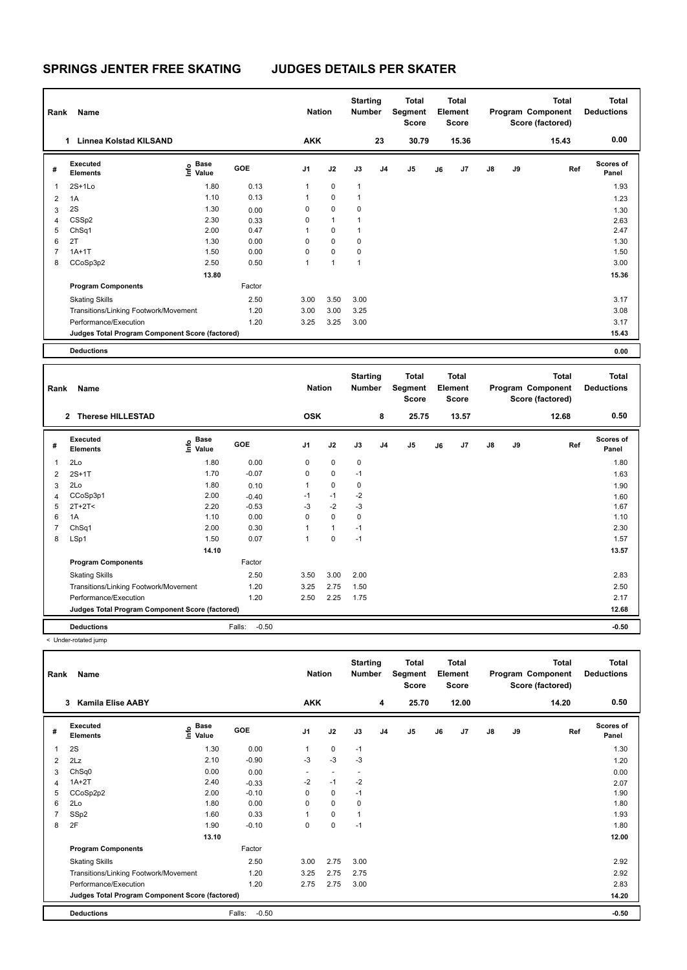| Rank | Name                                            |                                      |        | <b>Nation</b>  |              | <b>Starting</b><br><b>Number</b> |                | Total<br>Segment<br><b>Score</b> |    | <b>Total</b><br>Element<br><b>Score</b> |               |    | <b>Total</b><br>Program Component<br>Score (factored) | <b>Total</b><br><b>Deductions</b> |
|------|-------------------------------------------------|--------------------------------------|--------|----------------|--------------|----------------------------------|----------------|----------------------------------|----|-----------------------------------------|---------------|----|-------------------------------------------------------|-----------------------------------|
|      | Linnea Kolstad KILSAND<br>1.                    |                                      |        | <b>AKK</b>     |              |                                  | 23             | 30.79                            |    | 15.36                                   |               |    | 15.43                                                 | 0.00                              |
| #    | Executed<br><b>Elements</b>                     | Base<br>e <sup>Base</sup><br>⊆ Value | GOE    | J <sub>1</sub> | J2           | J3                               | J <sub>4</sub> | J <sub>5</sub>                   | J6 | J7                                      | $\mathsf{J}8$ | J9 | Ref                                                   | <b>Scores of</b><br>Panel         |
|      | $2S+1L0$                                        | 1.80                                 | 0.13   | 1              | $\mathbf 0$  | $\mathbf{1}$                     |                |                                  |    |                                         |               |    |                                                       | 1.93                              |
| 2    | 1A                                              | 1.10                                 | 0.13   | 1              | $\mathbf 0$  | 1                                |                |                                  |    |                                         |               |    |                                                       | 1.23                              |
| 3    | 2S                                              | 1.30                                 | 0.00   | 0              | $\pmb{0}$    | 0                                |                |                                  |    |                                         |               |    |                                                       | 1.30                              |
| 4    | CSSp2                                           | 2.30                                 | 0.33   | 0              | $\mathbf{1}$ | 1                                |                |                                  |    |                                         |               |    |                                                       | 2.63                              |
| 5    | ChSq1                                           | 2.00                                 | 0.47   | 1              | $\mathbf 0$  | $\mathbf{1}$                     |                |                                  |    |                                         |               |    |                                                       | 2.47                              |
| 6    | 2T                                              | 1.30                                 | 0.00   | 0              | $\mathbf 0$  | 0                                |                |                                  |    |                                         |               |    |                                                       | 1.30                              |
|      | $1A+1T$                                         | 1.50                                 | 0.00   | 0              | $\mathbf 0$  | 0                                |                |                                  |    |                                         |               |    |                                                       | 1.50                              |
| 8    | CCoSp3p2                                        | 2.50                                 | 0.50   | 1              | $\mathbf{1}$ | 1                                |                |                                  |    |                                         |               |    |                                                       | 3.00                              |
|      |                                                 | 13.80                                |        |                |              |                                  |                |                                  |    |                                         |               |    |                                                       | 15.36                             |
|      | <b>Program Components</b>                       |                                      | Factor |                |              |                                  |                |                                  |    |                                         |               |    |                                                       |                                   |
|      | <b>Skating Skills</b>                           |                                      | 2.50   | 3.00           | 3.50         | 3.00                             |                |                                  |    |                                         |               |    |                                                       | 3.17                              |
|      | Transitions/Linking Footwork/Movement           |                                      | 1.20   | 3.00           | 3.00         | 3.25                             |                |                                  |    |                                         |               |    |                                                       | 3.08                              |
|      | Performance/Execution                           |                                      | 1.20   | 3.25           | 3.25         | 3.00                             |                |                                  |    |                                         |               |    |                                                       | 3.17                              |
|      | Judges Total Program Component Score (factored) |                                      |        |                |              |                                  |                |                                  |    |                                         |               |    |                                                       | 15.43                             |
|      | <b>Deductions</b>                               |                                      |        |                |              |                                  |                |                                  |    |                                         |               |    |                                                       | 0.00                              |

| Rank           | Name                                            |                                  |                   | <b>Nation</b>  |             | <b>Starting</b><br><b>Number</b> |                | Total<br>Segment<br><b>Score</b> |    | <b>Total</b><br>Element<br><b>Score</b> |               |    | <b>Total</b><br>Program Component<br>Score (factored) | <b>Total</b><br><b>Deductions</b> |
|----------------|-------------------------------------------------|----------------------------------|-------------------|----------------|-------------|----------------------------------|----------------|----------------------------------|----|-----------------------------------------|---------------|----|-------------------------------------------------------|-----------------------------------|
|                | <b>Therese HILLESTAD</b><br>$\mathbf{2}$        |                                  |                   | <b>OSK</b>     |             |                                  | 8              | 25.75                            |    | 13.57                                   |               |    | 12.68                                                 | 0.50                              |
| #              | Executed<br><b>Elements</b>                     | <b>Base</b><br>e Base<br>⊆ Value | GOE               | J <sub>1</sub> | J2          | J3                               | J <sub>4</sub> | J <sub>5</sub>                   | J6 | J <sub>7</sub>                          | $\mathsf{J}8$ | J9 | Ref                                                   | <b>Scores of</b><br>Panel         |
| 1              | 2Lo                                             | 1.80                             | 0.00              | 0              | $\mathbf 0$ | $\mathbf 0$                      |                |                                  |    |                                         |               |    |                                                       | 1.80                              |
| 2              | $2S+1T$                                         | 1.70                             | $-0.07$           | 0              | $\mathbf 0$ | $-1$                             |                |                                  |    |                                         |               |    |                                                       | 1.63                              |
| 3              | 2Lo                                             | 1.80                             | 0.10              | 1              | $\mathbf 0$ | $\mathbf 0$                      |                |                                  |    |                                         |               |    |                                                       | 1.90                              |
| $\overline{4}$ | CCoSp3p1                                        | 2.00                             | $-0.40$           | $-1$           | $-1$        | $-2$                             |                |                                  |    |                                         |               |    |                                                       | 1.60                              |
| 5              | $2T+2T2$                                        | 2.20                             | $-0.53$           | $-3$           | $-2$        | $-3$                             |                |                                  |    |                                         |               |    |                                                       | 1.67                              |
| 6              | 1A                                              | 1.10                             | 0.00              | $\Omega$       | $\mathbf 0$ | $\mathbf 0$                      |                |                                  |    |                                         |               |    |                                                       | 1.10                              |
| $\overline{7}$ | ChSq1                                           | 2.00                             | 0.30              | 1              | 1           | $-1$                             |                |                                  |    |                                         |               |    |                                                       | 2.30                              |
| 8              | LSp1                                            | 1.50                             | 0.07              | 1              | 0           | $-1$                             |                |                                  |    |                                         |               |    |                                                       | 1.57                              |
|                |                                                 | 14.10                            |                   |                |             |                                  |                |                                  |    |                                         |               |    |                                                       | 13.57                             |
|                | <b>Program Components</b>                       |                                  | Factor            |                |             |                                  |                |                                  |    |                                         |               |    |                                                       |                                   |
|                | <b>Skating Skills</b>                           |                                  | 2.50              | 3.50           | 3.00        | 2.00                             |                |                                  |    |                                         |               |    |                                                       | 2.83                              |
|                | Transitions/Linking Footwork/Movement           |                                  | 1.20              | 3.25           | 2.75        | 1.50                             |                |                                  |    |                                         |               |    |                                                       | 2.50                              |
|                | Performance/Execution                           |                                  | 1.20              | 2.50           | 2.25        | 1.75                             |                |                                  |    |                                         |               |    |                                                       | 2.17                              |
|                | Judges Total Program Component Score (factored) |                                  |                   |                |             |                                  |                |                                  |    |                                         |               |    |                                                       | 12.68                             |
|                | <b>Deductions</b>                               |                                  | $-0.50$<br>Falls: |                |             |                                  |                |                                  |    |                                         |               |    |                                                       | $-0.50$                           |

< Under-rotated jump

| Rank | Name<br><b>Kamila Elise AABY</b><br>3           |                                  |                   | <b>Nation</b><br><b>AKK</b> |                          | <b>Starting</b><br><b>Number</b> | 4              | Total<br>Segment<br><b>Score</b><br>25.70 |    | <b>Total</b><br>Element<br>Score<br>12.00 |               |    | <b>Total</b><br>Program Component<br>Score (factored)<br>14.20 | Total<br><b>Deductions</b><br>0.50 |
|------|-------------------------------------------------|----------------------------------|-------------------|-----------------------------|--------------------------|----------------------------------|----------------|-------------------------------------------|----|-------------------------------------------|---------------|----|----------------------------------------------------------------|------------------------------------|
|      |                                                 |                                  |                   |                             |                          |                                  |                |                                           |    |                                           |               |    |                                                                |                                    |
| #    | Executed<br><b>Elements</b>                     | <b>Base</b><br>e Base<br>⊆ Value | GOE               | J <sub>1</sub>              | J2                       | J3                               | J <sub>4</sub> | J5                                        | J6 | J7                                        | $\mathsf{J}8$ | J9 | Ref                                                            | <b>Scores of</b><br>Panel          |
| 1    | 2S                                              | 1.30                             | 0.00              |                             | $\mathbf 0$              | $-1$                             |                |                                           |    |                                           |               |    |                                                                | 1.30                               |
| 2    | 2Lz                                             | 2.10                             | $-0.90$           | $-3$                        | $-3$                     | $-3$                             |                |                                           |    |                                           |               |    |                                                                | 1.20                               |
| 3    | ChSq0                                           | 0.00                             | 0.00              | $\overline{\phantom{a}}$    | $\overline{\phantom{a}}$ | $\overline{\phantom{a}}$         |                |                                           |    |                                           |               |    |                                                                | 0.00                               |
| 4    | $1A+2T$                                         | 2.40                             | $-0.33$           | $-2$                        | $-1$                     | $-2$                             |                |                                           |    |                                           |               |    |                                                                | 2.07                               |
| 5    | CCoSp2p2                                        | 2.00                             | $-0.10$           | $\Omega$                    | $\mathbf 0$              | $-1$                             |                |                                           |    |                                           |               |    |                                                                | 1.90                               |
| 6    | 2Lo                                             | 1.80                             | 0.00              | $\Omega$                    | $\mathbf 0$              | 0                                |                |                                           |    |                                           |               |    |                                                                | 1.80                               |
|      | SSp2                                            | 1.60                             | 0.33              |                             | $\mathbf 0$              | 1                                |                |                                           |    |                                           |               |    |                                                                | 1.93                               |
| 8    | 2F                                              | 1.90                             | $-0.10$           | 0                           | $\mathbf 0$              | $-1$                             |                |                                           |    |                                           |               |    |                                                                | 1.80                               |
|      |                                                 | 13.10                            |                   |                             |                          |                                  |                |                                           |    |                                           |               |    |                                                                | 12.00                              |
|      | <b>Program Components</b>                       |                                  | Factor            |                             |                          |                                  |                |                                           |    |                                           |               |    |                                                                |                                    |
|      | <b>Skating Skills</b>                           |                                  | 2.50              | 3.00                        | 2.75                     | 3.00                             |                |                                           |    |                                           |               |    |                                                                | 2.92                               |
|      | Transitions/Linking Footwork/Movement           |                                  | 1.20              | 3.25                        | 2.75                     | 2.75                             |                |                                           |    |                                           |               |    |                                                                | 2.92                               |
|      | Performance/Execution                           |                                  | 1.20              | 2.75                        | 2.75                     | 3.00                             |                |                                           |    |                                           |               |    |                                                                | 2.83                               |
|      | Judges Total Program Component Score (factored) |                                  |                   |                             |                          |                                  |                |                                           |    |                                           |               |    |                                                                | 14.20                              |
|      | <b>Deductions</b>                               |                                  | $-0.50$<br>Falls: |                             |                          |                                  |                |                                           |    |                                           |               |    |                                                                | $-0.50$                            |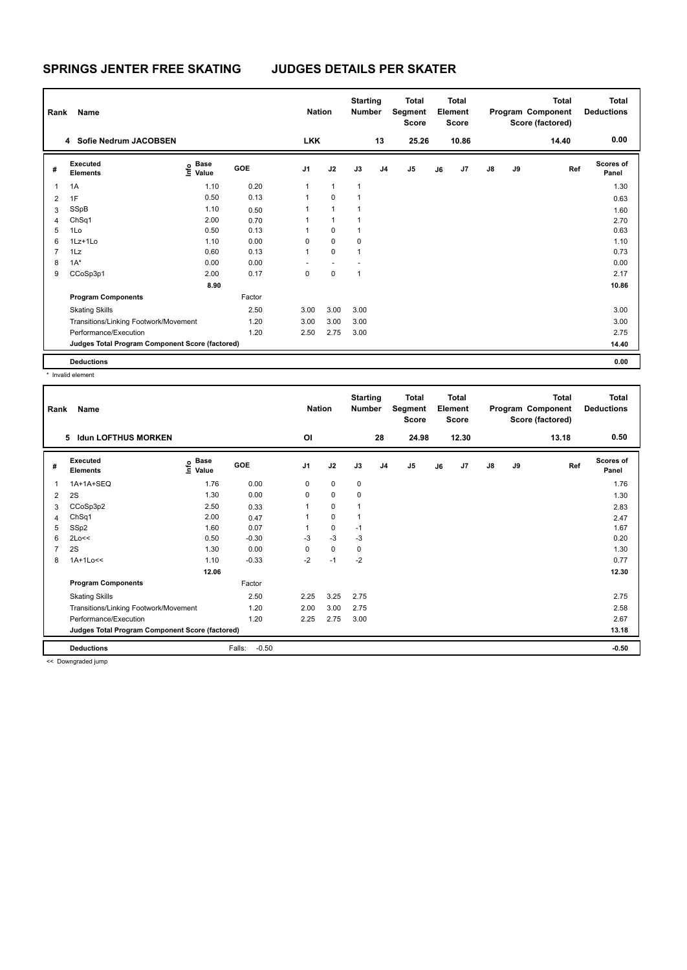| Rank           | Name                                            |                           |            | <b>Nation</b>  |                          | <b>Starting</b><br><b>Number</b> |                | <b>Total</b><br>Segment<br><b>Score</b> |    | Total<br>Element<br>Score |    |    | <b>Total</b><br>Program Component<br>Score (factored) | Total<br><b>Deductions</b> |
|----------------|-------------------------------------------------|---------------------------|------------|----------------|--------------------------|----------------------------------|----------------|-----------------------------------------|----|---------------------------|----|----|-------------------------------------------------------|----------------------------|
|                | 4 Sofie Nedrum JACOBSEN                         |                           |            | <b>LKK</b>     |                          |                                  | 13             | 25.26                                   |    | 10.86                     |    |    | 14.40                                                 | 0.00                       |
| #              | Executed<br><b>Elements</b>                     | Base<br>e Base<br>E Value | <b>GOE</b> | J <sub>1</sub> | J2                       | J3                               | J <sub>4</sub> | J <sub>5</sub>                          | J6 | J7                        | J8 | J9 | Ref                                                   | <b>Scores of</b><br>Panel  |
| 1              | 1A                                              | 1.10                      | 0.20       | 1              | $\mathbf{1}$             | $\mathbf{1}$                     |                |                                         |    |                           |    |    |                                                       | 1.30                       |
| 2              | 1F                                              | 0.50                      | 0.13       | 1              | $\Omega$                 | 1                                |                |                                         |    |                           |    |    |                                                       | 0.63                       |
| 3              | SSpB                                            | 1.10                      | 0.50       |                | 1                        | 1                                |                |                                         |    |                           |    |    |                                                       | 1.60                       |
| 4              | ChSq1                                           | 2.00                      | 0.70       |                | 1                        |                                  |                |                                         |    |                           |    |    |                                                       | 2.70                       |
| 5              | 1Lo                                             | 0.50                      | 0.13       |                | 0                        | 1                                |                |                                         |    |                           |    |    |                                                       | 0.63                       |
| 6              | 1Lz+1Lo                                         | 1.10                      | 0.00       | 0              | $\mathbf 0$              | 0                                |                |                                         |    |                           |    |    |                                                       | 1.10                       |
| $\overline{7}$ | 1Lz                                             | 0.60                      | 0.13       | 1              | $\mathbf 0$              | 1                                |                |                                         |    |                           |    |    |                                                       | 0.73                       |
| 8              | $1A^*$                                          | 0.00                      | 0.00       | ٠              | $\overline{\phantom{a}}$ |                                  |                |                                         |    |                           |    |    |                                                       | 0.00                       |
| 9              | CCoSp3p1                                        | 2.00                      | 0.17       | 0              | $\mathbf 0$              | 1                                |                |                                         |    |                           |    |    |                                                       | 2.17                       |
|                |                                                 | 8.90                      |            |                |                          |                                  |                |                                         |    |                           |    |    |                                                       | 10.86                      |
|                | <b>Program Components</b>                       |                           | Factor     |                |                          |                                  |                |                                         |    |                           |    |    |                                                       |                            |
|                | <b>Skating Skills</b>                           |                           | 2.50       | 3.00           | 3.00                     | 3.00                             |                |                                         |    |                           |    |    |                                                       | 3.00                       |
|                | Transitions/Linking Footwork/Movement           |                           | 1.20       | 3.00           | 3.00                     | 3.00                             |                |                                         |    |                           |    |    |                                                       | 3.00                       |
|                | Performance/Execution                           |                           | 1.20       | 2.50           | 2.75                     | 3.00                             |                |                                         |    |                           |    |    |                                                       | 2.75                       |
|                | Judges Total Program Component Score (factored) |                           |            |                |                          |                                  |                |                                         |    |                           |    |    |                                                       | 14.40                      |
|                | <b>Deductions</b>                               |                           |            |                |                          |                                  |                |                                         |    |                           |    |    |                                                       | 0.00                       |

\* Invalid element

| Rank           | Name                                            |                                  |                   | <b>Nation</b>  |             | <b>Starting</b><br><b>Number</b> |                | <b>Total</b><br>Segment<br><b>Score</b> |    | <b>Total</b><br>Element<br><b>Score</b> |               |    | <b>Total</b><br>Program Component<br>Score (factored) | <b>Total</b><br><b>Deductions</b> |
|----------------|-------------------------------------------------|----------------------------------|-------------------|----------------|-------------|----------------------------------|----------------|-----------------------------------------|----|-----------------------------------------|---------------|----|-------------------------------------------------------|-----------------------------------|
|                | <b>Idun LOFTHUS MORKEN</b><br>5                 |                                  |                   | ΟI             |             |                                  | 28             | 24.98                                   |    | 12.30                                   |               |    | 13.18                                                 | 0.50                              |
| #              | Executed<br><b>Elements</b>                     | <b>Base</b><br>e Base<br>⊆ Value | GOE               | J <sub>1</sub> | J2          | J3                               | J <sub>4</sub> | J5                                      | J6 | J7                                      | $\mathsf{J}8$ | J9 | Ref                                                   | <b>Scores of</b><br>Panel         |
| 1              | 1A+1A+SEQ                                       | 1.76                             | 0.00              | 0              | $\mathbf 0$ | $\mathbf 0$                      |                |                                         |    |                                         |               |    |                                                       | 1.76                              |
| 2              | 2S                                              | 1.30                             | 0.00              | 0              | $\mathbf 0$ | 0                                |                |                                         |    |                                         |               |    |                                                       | 1.30                              |
| 3              | CCoSp3p2                                        | 2.50                             | 0.33              |                | $\mathbf 0$ | 1                                |                |                                         |    |                                         |               |    |                                                       | 2.83                              |
| 4              | ChSq1                                           | 2.00                             | 0.47              |                | $\mathbf 0$ | 1                                |                |                                         |    |                                         |               |    |                                                       | 2.47                              |
| 5              | SSp2                                            | 1.60                             | 0.07              |                | $\mathbf 0$ | $-1$                             |                |                                         |    |                                         |               |    |                                                       | 1.67                              |
| 6              | 2Lo<<                                           | 0.50                             | $-0.30$           | $-3$           | $-3$        | $-3$                             |                |                                         |    |                                         |               |    |                                                       | 0.20                              |
| $\overline{7}$ | 2S                                              | 1.30                             | 0.00              | 0              | $\mathbf 0$ | 0                                |                |                                         |    |                                         |               |    |                                                       | 1.30                              |
| 8              | 1A+1Lo<<                                        | 1.10                             | $-0.33$           | $-2$           | $-1$        | $-2$                             |                |                                         |    |                                         |               |    |                                                       | 0.77                              |
|                |                                                 | 12.06                            |                   |                |             |                                  |                |                                         |    |                                         |               |    |                                                       | 12.30                             |
|                | <b>Program Components</b>                       |                                  | Factor            |                |             |                                  |                |                                         |    |                                         |               |    |                                                       |                                   |
|                | <b>Skating Skills</b>                           |                                  | 2.50              | 2.25           | 3.25        | 2.75                             |                |                                         |    |                                         |               |    |                                                       | 2.75                              |
|                | Transitions/Linking Footwork/Movement           |                                  | 1.20              | 2.00           | 3.00        | 2.75                             |                |                                         |    |                                         |               |    |                                                       | 2.58                              |
|                | Performance/Execution                           |                                  | 1.20              | 2.25           | 2.75        | 3.00                             |                |                                         |    |                                         |               |    |                                                       | 2.67                              |
|                | Judges Total Program Component Score (factored) |                                  |                   |                |             |                                  |                |                                         |    |                                         |               |    |                                                       | 13.18                             |
|                | <b>Deductions</b>                               |                                  | Falls:<br>$-0.50$ |                |             |                                  |                |                                         |    |                                         |               |    |                                                       | $-0.50$                           |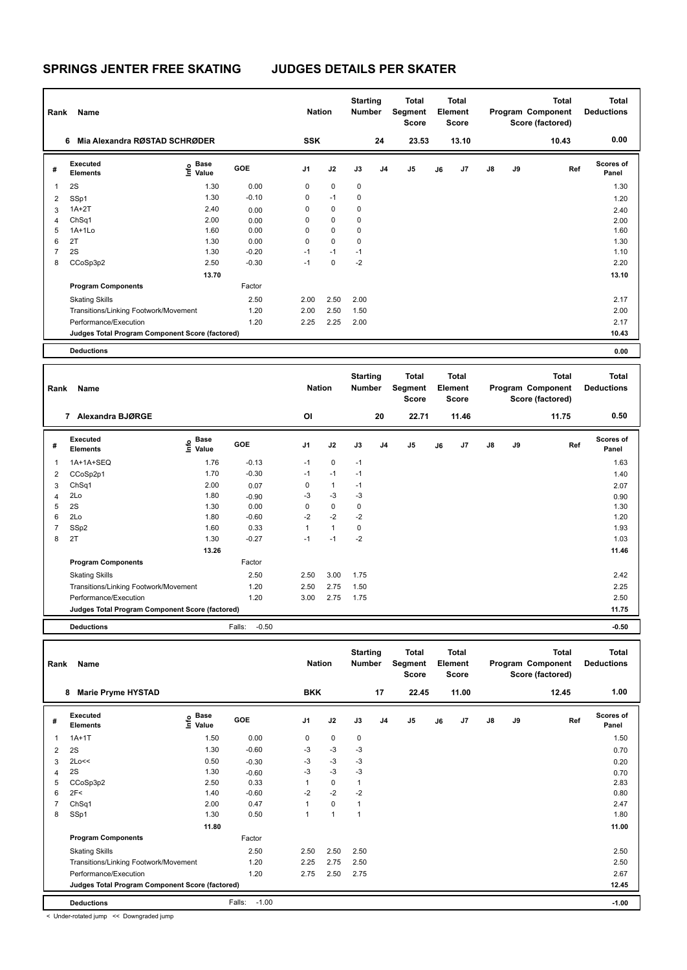| Rank | Name                                            |                                  |         | <b>Nation</b>  |             | <b>Starting</b><br><b>Number</b> |                | Total<br>Segment<br><b>Score</b> |    | Total<br>Element<br><b>Score</b> |               |    | <b>Total</b><br>Program Component<br>Score (factored) | <b>Total</b><br><b>Deductions</b> |
|------|-------------------------------------------------|----------------------------------|---------|----------------|-------------|----------------------------------|----------------|----------------------------------|----|----------------------------------|---------------|----|-------------------------------------------------------|-----------------------------------|
|      | Mia Alexandra RØSTAD SCHRØDER<br>6              |                                  |         | <b>SSK</b>     |             |                                  | 24             | 23.53                            |    | 13.10                            |               |    | 10.43                                                 | 0.00                              |
| #    | Executed<br><b>Elements</b>                     | <b>Base</b><br>e Base<br>⊆ Value | GOE     | J <sub>1</sub> | J2          | J3                               | J <sub>4</sub> | J <sub>5</sub>                   | J6 | J7                               | $\mathsf{J}8$ | J9 | Ref                                                   | <b>Scores of</b><br>Panel         |
| 1    | 2S                                              | 1.30                             | 0.00    | 0              | $\mathbf 0$ | 0                                |                |                                  |    |                                  |               |    |                                                       | 1.30                              |
| 2    | SSp1                                            | 1.30                             | $-0.10$ | 0              | $-1$        | 0                                |                |                                  |    |                                  |               |    |                                                       | 1.20                              |
| 3    | $1A+2T$                                         | 2.40                             | 0.00    | 0              | 0           | 0                                |                |                                  |    |                                  |               |    |                                                       | 2.40                              |
| 4    | ChSq1                                           | 2.00                             | 0.00    | 0              | $\pmb{0}$   | 0                                |                |                                  |    |                                  |               |    |                                                       | 2.00                              |
| 5    | $1A+1L0$                                        | 1.60                             | 0.00    | 0              | 0           | 0                                |                |                                  |    |                                  |               |    |                                                       | 1.60                              |
| 6    | 2T                                              | 1.30                             | 0.00    | 0              | $\mathbf 0$ | 0                                |                |                                  |    |                                  |               |    |                                                       | 1.30                              |
| 7    | 2S                                              | 1.30                             | $-0.20$ | $-1$           | $-1$        | $-1$                             |                |                                  |    |                                  |               |    |                                                       | 1.10                              |
| 8    | CCoSp3p2                                        | 2.50                             | $-0.30$ | $-1$           | $\mathbf 0$ | $-2$                             |                |                                  |    |                                  |               |    |                                                       | 2.20                              |
|      |                                                 | 13.70                            |         |                |             |                                  |                |                                  |    |                                  |               |    |                                                       | 13.10                             |
|      | <b>Program Components</b>                       |                                  | Factor  |                |             |                                  |                |                                  |    |                                  |               |    |                                                       |                                   |
|      | <b>Skating Skills</b>                           |                                  | 2.50    | 2.00           | 2.50        | 2.00                             |                |                                  |    |                                  |               |    |                                                       | 2.17                              |
|      | Transitions/Linking Footwork/Movement           |                                  | 1.20    | 2.00           | 2.50        | 1.50                             |                |                                  |    |                                  |               |    |                                                       | 2.00                              |
|      | Performance/Execution                           |                                  | 1.20    | 2.25           | 2.25        | 2.00                             |                |                                  |    |                                  |               |    |                                                       | 2.17                              |
|      | Judges Total Program Component Score (factored) |                                  |         |                |             |                                  |                |                                  |    |                                  |               |    |                                                       | 10.43                             |
|      | <b>Deductions</b>                               |                                  |         |                |             |                                  |                |                                  |    |                                  |               |    |                                                       | 0.00                              |

| Rank           | Name                                            |                                             |                   | <b>Nation</b>  |              | <b>Starting</b><br><b>Number</b> |                | <b>Total</b><br>Segment<br><b>Score</b> |    | <b>Total</b><br>Element<br><b>Score</b> |               |           | <b>Total</b><br>Program Component<br>Score (factored) | <b>Total</b><br><b>Deductions</b> |
|----------------|-------------------------------------------------|---------------------------------------------|-------------------|----------------|--------------|----------------------------------|----------------|-----------------------------------------|----|-----------------------------------------|---------------|-----------|-------------------------------------------------------|-----------------------------------|
|                | Alexandra BJØRGE<br>7                           |                                             |                   | OI             |              |                                  | 20             | 22.71                                   |    | 11.46                                   |               |           | 11.75                                                 | 0.50                              |
| #              | Executed<br><b>Elements</b>                     | <b>Base</b><br>e <sup>Base</sup><br>⊆ Value | <b>GOE</b>        | J <sub>1</sub> | J2           | J3                               | J <sub>4</sub> | J <sub>5</sub>                          | J6 | J <sub>7</sub>                          | $\mathsf{J}8$ | <b>J9</b> | Ref                                                   | <b>Scores of</b><br>Panel         |
| $\mathbf{1}$   | 1A+1A+SEQ                                       | 1.76                                        | $-0.13$           | $-1$           | $\mathbf 0$  | $-1$                             |                |                                         |    |                                         |               |           |                                                       | 1.63                              |
| 2              | CCoSp2p1                                        | 1.70                                        | $-0.30$           | $-1$           | $-1$         | $-1$                             |                |                                         |    |                                         |               |           |                                                       | 1.40                              |
| 3              | ChSq1                                           | 2.00                                        | 0.07              | 0              | $\mathbf{1}$ | $-1$                             |                |                                         |    |                                         |               |           |                                                       | 2.07                              |
| 4              | 2Lo                                             | 1.80                                        | $-0.90$           | $-3$           | $-3$         | $-3$                             |                |                                         |    |                                         |               |           |                                                       | 0.90                              |
| 5              | 2S                                              | 1.30                                        | 0.00              | 0              | $\mathbf 0$  | 0                                |                |                                         |    |                                         |               |           |                                                       | 1.30                              |
| 6              | 2Lo                                             | 1.80                                        | $-0.60$           | $-2$           | $-2$         | $-2$                             |                |                                         |    |                                         |               |           |                                                       | 1.20                              |
| $\overline{7}$ | SSp2                                            | 1.60                                        | 0.33              | 1              | $\mathbf{1}$ | 0                                |                |                                         |    |                                         |               |           |                                                       | 1.93                              |
| 8              | 2T                                              | 1.30                                        | $-0.27$           | $-1$           | $-1$         | $-2$                             |                |                                         |    |                                         |               |           |                                                       | 1.03                              |
|                |                                                 | 13.26                                       |                   |                |              |                                  |                |                                         |    |                                         |               |           |                                                       | 11.46                             |
|                | <b>Program Components</b>                       |                                             | Factor            |                |              |                                  |                |                                         |    |                                         |               |           |                                                       |                                   |
|                | <b>Skating Skills</b>                           |                                             | 2.50              | 2.50           | 3.00         | 1.75                             |                |                                         |    |                                         |               |           |                                                       | 2.42                              |
|                | Transitions/Linking Footwork/Movement           |                                             | 1.20              | 2.50           | 2.75         | 1.50                             |                |                                         |    |                                         |               |           |                                                       | 2.25                              |
|                | Performance/Execution                           |                                             | 1.20              | 3.00           | 2.75         | 1.75                             |                |                                         |    |                                         |               |           |                                                       | 2.50                              |
|                | Judges Total Program Component Score (factored) |                                             |                   |                |              |                                  |                |                                         |    |                                         |               |           |                                                       | 11.75                             |
|                | <b>Deductions</b>                               |                                             | Falls:<br>$-0.50$ |                |              |                                  |                |                                         |    |                                         |               |           |                                                       | $-0.50$                           |

| Rank | Name                                            |                              |                   | <b>Nation</b> |                | <b>Starting</b><br>Number |                | <b>Total</b><br>Segment<br><b>Score</b> |    | <b>Total</b><br>Element<br><b>Score</b> |               |    | <b>Total</b><br>Program Component<br>Score (factored) | Total<br><b>Deductions</b> |
|------|-------------------------------------------------|------------------------------|-------------------|---------------|----------------|---------------------------|----------------|-----------------------------------------|----|-----------------------------------------|---------------|----|-------------------------------------------------------|----------------------------|
|      | <b>Marie Pryme HYSTAD</b><br>8                  |                              |                   | <b>BKK</b>    |                |                           | 17             | 22.45                                   |    | 11.00                                   |               |    | 12.45                                                 | 1.00                       |
| #    | Executed<br><b>Elements</b>                     | <b>Base</b><br>lnfo<br>Value | GOE               | J1            | J2             | J3                        | J <sub>4</sub> | J <sub>5</sub>                          | J6 | J7                                      | $\mathsf{J}8$ | J9 | Ref                                                   | <b>Scores of</b><br>Panel  |
|      | $1A+1T$                                         | 1.50                         | 0.00              | 0             | 0              | 0                         |                |                                         |    |                                         |               |    |                                                       | 1.50                       |
| 2    | 2S                                              | 1.30                         | $-0.60$           | -3            | $-3$           | $-3$                      |                |                                         |    |                                         |               |    |                                                       | 0.70                       |
| 3    | 2Lo<<                                           | 0.50                         | $-0.30$           | $-3$          | $-3$           | -3                        |                |                                         |    |                                         |               |    |                                                       | 0.20                       |
| 4    | 2S                                              | 1.30                         | $-0.60$           | $-3$          | $-3$           | $-3$                      |                |                                         |    |                                         |               |    |                                                       | 0.70                       |
| 5    | CCoSp3p2                                        | 2.50                         | 0.33              | 1             | 0              | 1                         |                |                                         |    |                                         |               |    |                                                       | 2.83                       |
| 6    | 2F<                                             | 1.40                         | $-0.60$           | $-2$          | $-2$           | $-2$                      |                |                                         |    |                                         |               |    |                                                       | 0.80                       |
| 7    | ChSq1                                           | 2.00                         | 0.47              | 1             | $\mathbf 0$    | 1                         |                |                                         |    |                                         |               |    |                                                       | 2.47                       |
| 8    | SSp1                                            | 1.30                         | 0.50              | 1             | $\overline{1}$ | 1                         |                |                                         |    |                                         |               |    |                                                       | 1.80                       |
|      |                                                 | 11.80                        |                   |               |                |                           |                |                                         |    |                                         |               |    |                                                       | 11.00                      |
|      | <b>Program Components</b>                       |                              | Factor            |               |                |                           |                |                                         |    |                                         |               |    |                                                       |                            |
|      | <b>Skating Skills</b>                           |                              | 2.50              | 2.50          | 2.50           | 2.50                      |                |                                         |    |                                         |               |    |                                                       | 2.50                       |
|      | Transitions/Linking Footwork/Movement           |                              | 1.20              | 2.25          | 2.75           | 2.50                      |                |                                         |    |                                         |               |    |                                                       | 2.50                       |
|      | Performance/Execution                           |                              | 1.20              | 2.75          | 2.50           | 2.75                      |                |                                         |    |                                         |               |    |                                                       | 2.67                       |
|      | Judges Total Program Component Score (factored) |                              |                   |               |                |                           |                |                                         |    |                                         |               |    |                                                       | 12.45                      |
|      | <b>Deductions</b>                               |                              | $-1.00$<br>Falls: |               |                |                           |                |                                         |    |                                         |               |    |                                                       | $-1.00$                    |

< Under-rotated jump << Downgraded jump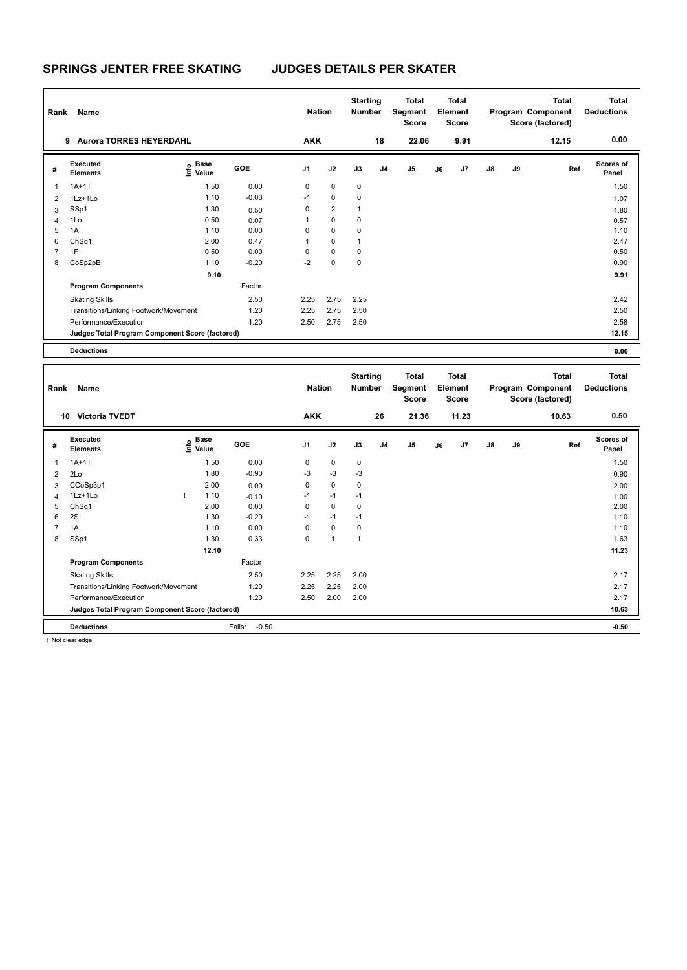| Rank | Name                                            |                                             |         | <b>Nation</b>  |                | <b>Starting</b><br><b>Number</b> |                | Total<br>Segment<br><b>Score</b> |    | <b>Total</b><br>Element<br><b>Score</b> |               |    | <b>Total</b><br>Program Component<br>Score (factored) | <b>Total</b><br><b>Deductions</b> |
|------|-------------------------------------------------|---------------------------------------------|---------|----------------|----------------|----------------------------------|----------------|----------------------------------|----|-----------------------------------------|---------------|----|-------------------------------------------------------|-----------------------------------|
|      | <b>Aurora TORRES HEYERDAHL</b><br>9             |                                             |         | <b>AKK</b>     |                |                                  | 18             | 22.06                            |    | 9.91                                    |               |    | 12.15                                                 | 0.00                              |
| #    | Executed<br><b>Elements</b>                     | <b>Base</b><br>e <sup>Base</sup><br>⊆ Value | GOE     | J <sub>1</sub> | J2             | J3                               | J <sub>4</sub> | J <sub>5</sub>                   | J6 | J7                                      | $\mathsf{J}8$ | J9 | Ref                                                   | <b>Scores of</b><br>Panel         |
|      | $1A+1T$                                         | 1.50                                        | 0.00    | 0              | $\mathbf 0$    | $\pmb{0}$                        |                |                                  |    |                                         |               |    |                                                       | 1.50                              |
| 2    | $1Lz+1L0$                                       | 1.10                                        | $-0.03$ | $-1$           | $\mathbf 0$    | 0                                |                |                                  |    |                                         |               |    |                                                       | 1.07                              |
| 3    | SSp1                                            | 1.30                                        | 0.50    | 0              | $\overline{2}$ | 1                                |                |                                  |    |                                         |               |    |                                                       | 1.80                              |
| 4    | 1Lo                                             | 0.50                                        | 0.07    | 1              | $\mathbf 0$    | 0                                |                |                                  |    |                                         |               |    |                                                       | 0.57                              |
| 5    | 1A                                              | 1.10                                        | 0.00    | 0              | 0              | 0                                |                |                                  |    |                                         |               |    |                                                       | 1.10                              |
| 6    | ChSq1                                           | 2.00                                        | 0.47    | 1              | $\mathbf 0$    | $\mathbf{1}$                     |                |                                  |    |                                         |               |    |                                                       | 2.47                              |
| 7    | 1F                                              | 0.50                                        | 0.00    | 0              | $\mathbf 0$    | 0                                |                |                                  |    |                                         |               |    |                                                       | 0.50                              |
| 8    | CoSp2pB                                         | 1.10                                        | $-0.20$ | $-2$           | $\mathbf 0$    | 0                                |                |                                  |    |                                         |               |    |                                                       | 0.90                              |
|      |                                                 | 9.10                                        |         |                |                |                                  |                |                                  |    |                                         |               |    |                                                       | 9.91                              |
|      | <b>Program Components</b>                       |                                             | Factor  |                |                |                                  |                |                                  |    |                                         |               |    |                                                       |                                   |
|      | <b>Skating Skills</b>                           |                                             | 2.50    | 2.25           | 2.75           | 2.25                             |                |                                  |    |                                         |               |    |                                                       | 2.42                              |
|      | Transitions/Linking Footwork/Movement           |                                             | 1.20    | 2.25           | 2.75           | 2.50                             |                |                                  |    |                                         |               |    |                                                       | 2.50                              |
|      | Performance/Execution                           |                                             | 1.20    | 2.50           | 2.75           | 2.50                             |                |                                  |    |                                         |               |    |                                                       | 2.58                              |
|      | Judges Total Program Component Score (factored) |                                             |         |                |                |                                  |                |                                  |    |                                         |               |    |                                                       | 12.15                             |
|      | <b>Deductions</b>                               |                                             |         |                |                |                                  |                |                                  |    |                                         |               |    |                                                       | 0.00                              |

| Rank           | Name                                            |                                  |                   | <b>Nation</b>  |             | <b>Starting</b><br>Number |                | Total<br>Segment<br><b>Score</b> |    | <b>Total</b><br>Element<br><b>Score</b> |               |    | <b>Total</b><br>Program Component<br>Score (factored) | <b>Total</b><br><b>Deductions</b> |
|----------------|-------------------------------------------------|----------------------------------|-------------------|----------------|-------------|---------------------------|----------------|----------------------------------|----|-----------------------------------------|---------------|----|-------------------------------------------------------|-----------------------------------|
|                | <b>Victoria TVEDT</b><br>10                     |                                  |                   | <b>AKK</b>     |             |                           | 26             | 21.36                            |    | 11.23                                   |               |    | 10.63                                                 | 0.50                              |
| #              | Executed<br><b>Elements</b>                     | <b>Base</b><br>e Base<br>⊑ Value | <b>GOE</b>        | J <sub>1</sub> | J2          | J3                        | J <sub>4</sub> | J <sub>5</sub>                   | J6 | J <sub>7</sub>                          | $\mathsf{J}8$ | J9 | Ref                                                   | <b>Scores of</b><br>Panel         |
|                | $1A+1T$                                         | 1.50                             | 0.00              | 0              | $\mathbf 0$ | $\mathbf 0$               |                |                                  |    |                                         |               |    |                                                       | 1.50                              |
| 2              | 2Lo                                             | 1.80                             | $-0.90$           | $-3$           | $-3$        | $-3$                      |                |                                  |    |                                         |               |    |                                                       | 0.90                              |
| 3              | CCoSp3p1                                        | 2.00                             | 0.00              | 0              | $\mathbf 0$ | 0                         |                |                                  |    |                                         |               |    |                                                       | 2.00                              |
| $\overline{4}$ | 1Lz+1Lo                                         | 1.10                             | $-0.10$           | $-1$           | $-1$        | $-1$                      |                |                                  |    |                                         |               |    |                                                       | 1.00                              |
| 5              | ChSq1                                           | 2.00                             | 0.00              | 0              | $\mathbf 0$ | 0                         |                |                                  |    |                                         |               |    |                                                       | 2.00                              |
| 6              | 2S                                              | 1.30                             | $-0.20$           | $-1$           | $-1$        | $-1$                      |                |                                  |    |                                         |               |    |                                                       | 1.10                              |
| 7              | 1A                                              | 1.10                             | 0.00              | 0              | $\mathbf 0$ | 0                         |                |                                  |    |                                         |               |    |                                                       | 1.10                              |
| 8              | SSp1                                            | 1.30                             | 0.33              | $\mathbf 0$    | 1           | 1                         |                |                                  |    |                                         |               |    |                                                       | 1.63                              |
|                |                                                 | 12.10                            |                   |                |             |                           |                |                                  |    |                                         |               |    |                                                       | 11.23                             |
|                | <b>Program Components</b>                       |                                  | Factor            |                |             |                           |                |                                  |    |                                         |               |    |                                                       |                                   |
|                | <b>Skating Skills</b>                           |                                  | 2.50              | 2.25           | 2.25        | 2.00                      |                |                                  |    |                                         |               |    |                                                       | 2.17                              |
|                | Transitions/Linking Footwork/Movement           |                                  | 1.20              | 2.25           | 2.25        | 2.00                      |                |                                  |    |                                         |               |    |                                                       | 2.17                              |
|                | Performance/Execution                           |                                  | 1.20              | 2.50           | 2.00        | 2.00                      |                |                                  |    |                                         |               |    |                                                       | 2.17                              |
|                | Judges Total Program Component Score (factored) |                                  |                   |                |             |                           |                |                                  |    |                                         |               |    |                                                       | 10.63                             |
|                | <b>Deductions</b>                               |                                  | $-0.50$<br>Falls: |                |             |                           |                |                                  |    |                                         |               |    |                                                       | $-0.50$                           |

! Not clear edge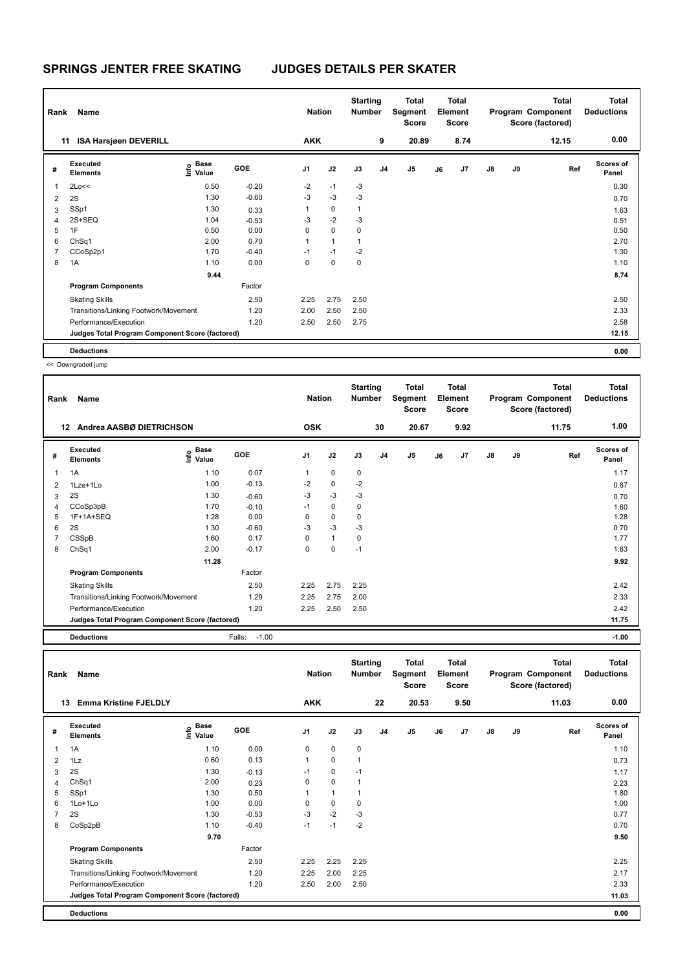| Rank | Name                                            |                           |            | <b>Nation</b>  |                | <b>Starting</b><br><b>Number</b> |                | Total<br>Segment<br>Score |    | <b>Total</b><br>Element<br>Score |               |    | Total<br>Program Component<br>Score (factored) | <b>Total</b><br><b>Deductions</b> |
|------|-------------------------------------------------|---------------------------|------------|----------------|----------------|----------------------------------|----------------|---------------------------|----|----------------------------------|---------------|----|------------------------------------------------|-----------------------------------|
| 11   | <b>ISA Harsjøen DEVERILL</b>                    |                           |            | <b>AKK</b>     |                |                                  | 9              | 20.89                     |    | 8.74                             |               |    | 12.15                                          | 0.00                              |
| #    | Executed<br><b>Elements</b>                     | Base<br>e Base<br>⊆ Value | <b>GOE</b> | J <sub>1</sub> | J2             | J3                               | J <sub>4</sub> | J <sub>5</sub>            | J6 | J7                               | $\mathsf{J}8$ | J9 | Ref                                            | <b>Scores of</b><br>Panel         |
| 1    | 2Lo<<                                           | 0.50                      | $-0.20$    | $-2$           | $-1$           | $-3$                             |                |                           |    |                                  |               |    |                                                | 0.30                              |
| 2    | 2S                                              | 1.30                      | $-0.60$    | -3             | $-3$           | $-3$                             |                |                           |    |                                  |               |    |                                                | 0.70                              |
| 3    | SSp1                                            | 1.30                      | 0.33       | 1              | $\mathbf 0$    | 1                                |                |                           |    |                                  |               |    |                                                | 1.63                              |
| 4    | 2S+SEQ                                          | 1.04                      | $-0.53$    | $-3$           | $-2$           | $-3$                             |                |                           |    |                                  |               |    |                                                | 0.51                              |
| 5    | 1F                                              | 0.50                      | 0.00       | 0              | $\mathbf 0$    | 0                                |                |                           |    |                                  |               |    |                                                | 0.50                              |
| 6    | ChSq1                                           | 2.00                      | 0.70       | 1              | $\overline{1}$ | 1                                |                |                           |    |                                  |               |    |                                                | 2.70                              |
|      | CCoSp2p1                                        | 1.70                      | $-0.40$    | $-1$           | $-1$           | $-2$                             |                |                           |    |                                  |               |    |                                                | 1.30                              |
| 8    | 1A                                              | 1.10                      | 0.00       | 0              | $\mathbf 0$    | $\mathbf 0$                      |                |                           |    |                                  |               |    |                                                | 1.10                              |
|      |                                                 | 9.44                      |            |                |                |                                  |                |                           |    |                                  |               |    |                                                | 8.74                              |
|      | <b>Program Components</b>                       |                           | Factor     |                |                |                                  |                |                           |    |                                  |               |    |                                                |                                   |
|      | <b>Skating Skills</b>                           |                           | 2.50       | 2.25           | 2.75           | 2.50                             |                |                           |    |                                  |               |    |                                                | 2.50                              |
|      | Transitions/Linking Footwork/Movement           |                           | 1.20       | 2.00           | 2.50           | 2.50                             |                |                           |    |                                  |               |    |                                                | 2.33                              |
|      | Performance/Execution                           |                           | 1.20       | 2.50           | 2.50           | 2.75                             |                |                           |    |                                  |               |    |                                                | 2.58                              |
|      | Judges Total Program Component Score (factored) |                           |            |                |                |                                  |                |                           |    |                                  |               |    |                                                | 12.15                             |
|      | <b>Deductions</b>                               |                           |            |                |                |                                  |                |                           |    |                                  |               |    |                                                | 0.00                              |

| Rank           | Name                                            |                              |                   | <b>Nation</b>  |             | <b>Starting</b><br><b>Number</b> |                | Total<br>Segment<br><b>Score</b> |    | Total<br>Element<br><b>Score</b> |    |    | <b>Total</b><br>Program Component<br>Score (factored) | <b>Total</b><br><b>Deductions</b> |
|----------------|-------------------------------------------------|------------------------------|-------------------|----------------|-------------|----------------------------------|----------------|----------------------------------|----|----------------------------------|----|----|-------------------------------------------------------|-----------------------------------|
|                | Andrea AASBØ DIETRICHSON<br>12                  |                              |                   | <b>OSK</b>     |             |                                  | 30             | 20.67                            |    | 9.92                             |    |    | 11.75                                                 | 1.00                              |
| #              | Executed<br><b>Elements</b>                     | <b>Base</b><br>lnfo<br>Value | GOE               | J <sub>1</sub> | J2          | J3                               | J <sub>4</sub> | J5                               | J6 | J <sub>7</sub>                   | J8 | J9 | Ref                                                   | <b>Scores of</b><br>Panel         |
| $\mathbf{1}$   | 1A                                              | 1.10                         | 0.07              | 1              | 0           | 0                                |                |                                  |    |                                  |    |    |                                                       | 1.17                              |
| $\overline{2}$ | 1Lze+1Lo                                        | 1.00                         | $-0.13$           | $-2$           | $\mathbf 0$ | $-2$                             |                |                                  |    |                                  |    |    |                                                       | 0.87                              |
| 3              | 2S                                              | 1.30                         | $-0.60$           | $-3$           | $-3$        | -3                               |                |                                  |    |                                  |    |    |                                                       | 0.70                              |
| 4              | CCoSp3pB                                        | 1.70                         | $-0.10$           | $-1$           | $\mathbf 0$ | 0                                |                |                                  |    |                                  |    |    |                                                       | 1.60                              |
| 5              | 1F+1A+SEQ                                       | 1.28                         | 0.00              | 0              | 0           | 0                                |                |                                  |    |                                  |    |    |                                                       | 1.28                              |
| 6              | 2S                                              | 1.30                         | $-0.60$           | $-3$           | $-3$        | $-3$                             |                |                                  |    |                                  |    |    |                                                       | 0.70                              |
| 7              | CSSpB                                           | 1.60                         | 0.17              | $\Omega$       | 1           | 0                                |                |                                  |    |                                  |    |    |                                                       | 1.77                              |
| 8              | ChSq1                                           | 2.00                         | $-0.17$           | 0              | 0           | $-1$                             |                |                                  |    |                                  |    |    |                                                       | 1.83                              |
|                |                                                 | 11.28                        |                   |                |             |                                  |                |                                  |    |                                  |    |    |                                                       | 9.92                              |
|                | <b>Program Components</b>                       |                              | Factor            |                |             |                                  |                |                                  |    |                                  |    |    |                                                       |                                   |
|                | <b>Skating Skills</b>                           |                              | 2.50              | 2.25           | 2.75        | 2.25                             |                |                                  |    |                                  |    |    |                                                       | 2.42                              |
|                | Transitions/Linking Footwork/Movement           |                              | 1.20              | 2.25           | 2.75        | 2.00                             |                |                                  |    |                                  |    |    |                                                       | 2.33                              |
|                | Performance/Execution                           |                              | 1.20              | 2.25           | 2.50        | 2.50                             |                |                                  |    |                                  |    |    |                                                       | 2.42                              |
|                | Judges Total Program Component Score (factored) |                              |                   |                |             |                                  |                |                                  |    |                                  |    |    |                                                       | 11.75                             |
|                | <b>Deductions</b>                               |                              | Falls:<br>$-1.00$ |                |             |                                  |                |                                  |    |                                  |    |    |                                                       | $-1.00$                           |

| Rank | Name                                            |                                  |         | <b>Nation</b>  |             | <b>Starting</b><br><b>Number</b> |    | Total<br>Segment<br><b>Score</b> |    | <b>Total</b><br>Element<br><b>Score</b> |               |    | <b>Total</b><br>Program Component<br>Score (factored) | Total<br><b>Deductions</b> |
|------|-------------------------------------------------|----------------------------------|---------|----------------|-------------|----------------------------------|----|----------------------------------|----|-----------------------------------------|---------------|----|-------------------------------------------------------|----------------------------|
|      | <b>Emma Kristine FJELDLY</b><br>13              |                                  |         | <b>AKK</b>     |             |                                  | 22 | 20.53                            |    | 9.50                                    |               |    | 11.03                                                 | 0.00                       |
| #    | Executed<br><b>Elements</b>                     | <b>Base</b><br>e Base<br>⊆ Value | GOE     | J <sub>1</sub> | J2          | J3                               | J4 | J5                               | J6 | J7                                      | $\mathsf{J}8$ | J9 | Ref                                                   | Scores of<br>Panel         |
| 1    | 1A                                              | 1.10                             | 0.00    | 0              | $\mathbf 0$ | 0                                |    |                                  |    |                                         |               |    |                                                       | 1.10                       |
| 2    | 1Lz                                             | 0.60                             | 0.13    | 1              | 0           | $\mathbf{1}$                     |    |                                  |    |                                         |               |    |                                                       | 0.73                       |
| 3    | 2S                                              | 1.30                             | $-0.13$ | $-1$           | $\mathbf 0$ | $-1$                             |    |                                  |    |                                         |               |    |                                                       | 1.17                       |
| 4    | ChSq1                                           | 2.00                             | 0.23    | 0              | $\mathbf 0$ | $\mathbf{1}$                     |    |                                  |    |                                         |               |    |                                                       | 2.23                       |
| 5    | SSp1                                            | 1.30                             | 0.50    |                | 1           | $\mathbf{1}$                     |    |                                  |    |                                         |               |    |                                                       | 1.80                       |
| 6    | 1Lo+1Lo                                         | 1.00                             | 0.00    | 0              | $\pmb{0}$   | $\mathbf 0$                      |    |                                  |    |                                         |               |    |                                                       | 1.00                       |
| 7    | 2S                                              | 1.30                             | $-0.53$ | $-3$           | $-2$        | $-3$                             |    |                                  |    |                                         |               |    |                                                       | 0.77                       |
| 8    | CoSp2pB                                         | 1.10                             | $-0.40$ | $-1$           | $-1$        | $-2$                             |    |                                  |    |                                         |               |    |                                                       | 0.70                       |
|      |                                                 | 9.70                             |         |                |             |                                  |    |                                  |    |                                         |               |    |                                                       | 9.50                       |
|      | <b>Program Components</b>                       |                                  | Factor  |                |             |                                  |    |                                  |    |                                         |               |    |                                                       |                            |
|      | <b>Skating Skills</b>                           |                                  | 2.50    | 2.25           | 2.25        | 2.25                             |    |                                  |    |                                         |               |    |                                                       | 2.25                       |
|      | Transitions/Linking Footwork/Movement           |                                  | 1.20    | 2.25           | 2.00        | 2.25                             |    |                                  |    |                                         |               |    |                                                       | 2.17                       |
|      | Performance/Execution                           |                                  | 1.20    | 2.50           | 2.00        | 2.50                             |    |                                  |    |                                         |               |    |                                                       | 2.33                       |
|      | Judges Total Program Component Score (factored) |                                  |         |                |             |                                  |    |                                  |    |                                         |               |    |                                                       | 11.03                      |
|      | <b>Deductions</b>                               |                                  |         |                |             |                                  |    |                                  |    |                                         |               |    |                                                       | 0.00                       |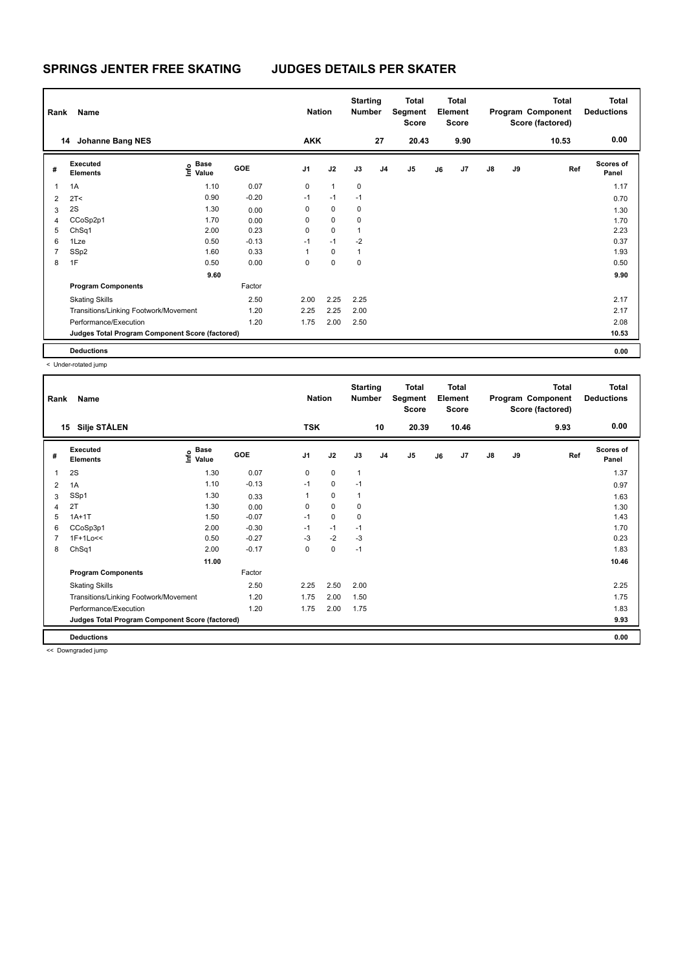| Rank           | Name                                            |                                      |         | <b>Nation</b>  |              | <b>Starting</b><br><b>Number</b> |    | Total<br>Segment<br>Score |    | <b>Total</b><br>Element<br><b>Score</b> |               |    | <b>Total</b><br>Program Component<br>Score (factored) | <b>Total</b><br><b>Deductions</b> |
|----------------|-------------------------------------------------|--------------------------------------|---------|----------------|--------------|----------------------------------|----|---------------------------|----|-----------------------------------------|---------------|----|-------------------------------------------------------|-----------------------------------|
|                | <b>Johanne Bang NES</b><br>14                   |                                      |         | <b>AKK</b>     |              |                                  | 27 | 20.43                     |    | 9.90                                    |               |    | 10.53                                                 | 0.00                              |
| #              | Executed<br><b>Elements</b>                     | Base<br>e <sup>Base</sup><br>⊆ Value | GOE     | J <sub>1</sub> | J2           | J3                               | J4 | J <sub>5</sub>            | J6 | J7                                      | $\mathsf{J}8$ | J9 | Ref                                                   | <b>Scores of</b><br>Panel         |
| $\overline{1}$ | 1A                                              | 1.10                                 | 0.07    | 0              | $\mathbf{1}$ | $\mathbf 0$                      |    |                           |    |                                         |               |    |                                                       | 1.17                              |
| $\overline{2}$ | 2T <                                            | 0.90                                 | $-0.20$ | $-1$           | $-1$         | $-1$                             |    |                           |    |                                         |               |    |                                                       | 0.70                              |
| 3              | 2S                                              | 1.30                                 | 0.00    | 0              | 0            | 0                                |    |                           |    |                                         |               |    |                                                       | 1.30                              |
| 4              | CCoSp2p1                                        | 1.70                                 | 0.00    | 0              | $\mathbf 0$  | $\mathbf 0$                      |    |                           |    |                                         |               |    |                                                       | 1.70                              |
| 5              | ChSq1                                           | 2.00                                 | 0.23    | 0              | $\mathbf 0$  | 1                                |    |                           |    |                                         |               |    |                                                       | 2.23                              |
| 6              | 1Lze                                            | 0.50                                 | $-0.13$ | $-1$           | $-1$         | $-2$                             |    |                           |    |                                         |               |    |                                                       | 0.37                              |
| 7              | SSp2                                            | 1.60                                 | 0.33    | 1              | 0            | 1                                |    |                           |    |                                         |               |    |                                                       | 1.93                              |
| 8              | 1F                                              | 0.50                                 | 0.00    | 0              | $\mathbf 0$  | 0                                |    |                           |    |                                         |               |    |                                                       | 0.50                              |
|                |                                                 | 9.60                                 |         |                |              |                                  |    |                           |    |                                         |               |    |                                                       | 9.90                              |
|                | <b>Program Components</b>                       |                                      | Factor  |                |              |                                  |    |                           |    |                                         |               |    |                                                       |                                   |
|                | <b>Skating Skills</b>                           |                                      | 2.50    | 2.00           | 2.25         | 2.25                             |    |                           |    |                                         |               |    |                                                       | 2.17                              |
|                | Transitions/Linking Footwork/Movement           |                                      | 1.20    | 2.25           | 2.25         | 2.00                             |    |                           |    |                                         |               |    |                                                       | 2.17                              |
|                | Performance/Execution                           |                                      | 1.20    | 1.75           | 2.00         | 2.50                             |    |                           |    |                                         |               |    |                                                       | 2.08                              |
|                | Judges Total Program Component Score (factored) |                                      |         |                |              |                                  |    |                           |    |                                         |               |    |                                                       | 10.53                             |
|                | <b>Deductions</b>                               |                                      |         |                |              |                                  |    |                           |    |                                         |               |    |                                                       | 0.00                              |

< Under-rotated jump

| Rank | Name                                            |                                           |         | <b>Nation</b>  |             | <b>Starting</b><br><b>Number</b> |                | <b>Total</b><br>Segment<br>Score |    | <b>Total</b><br>Element<br><b>Score</b> |               |    | <b>Total</b><br>Program Component<br>Score (factored) | <b>Total</b><br><b>Deductions</b> |
|------|-------------------------------------------------|-------------------------------------------|---------|----------------|-------------|----------------------------------|----------------|----------------------------------|----|-----------------------------------------|---------------|----|-------------------------------------------------------|-----------------------------------|
| 15   | <b>Silje STÅLEN</b>                             |                                           |         | <b>TSK</b>     |             |                                  | 10             | 20.39                            |    | 10.46                                   |               |    | 9.93                                                  | 0.00                              |
| #    | Executed<br><b>Elements</b>                     | $\frac{e}{E}$ Base<br>$\frac{E}{E}$ Value | GOE     | J <sub>1</sub> | J2          | J3                               | J <sub>4</sub> | J5                               | J6 | J7                                      | $\mathsf{J}8$ | J9 | Ref                                                   | <b>Scores of</b><br>Panel         |
| 1    | 2S                                              | 1.30                                      | 0.07    | 0              | $\mathbf 0$ | $\mathbf{1}$                     |                |                                  |    |                                         |               |    |                                                       | 1.37                              |
| 2    | 1A                                              | 1.10                                      | $-0.13$ | $-1$           | 0           | $-1$                             |                |                                  |    |                                         |               |    |                                                       | 0.97                              |
| 3    | SSp1                                            | 1.30                                      | 0.33    |                | $\mathbf 0$ | 1                                |                |                                  |    |                                         |               |    |                                                       | 1.63                              |
| 4    | 2T                                              | 1.30                                      | 0.00    | 0              | $\mathbf 0$ | 0                                |                |                                  |    |                                         |               |    |                                                       | 1.30                              |
| 5    | $1A+1T$                                         | 1.50                                      | $-0.07$ | $-1$           | $\mathbf 0$ | 0                                |                |                                  |    |                                         |               |    |                                                       | 1.43                              |
| 6    | CCoSp3p1                                        | 2.00                                      | $-0.30$ | $-1$           | $-1$        | $-1$                             |                |                                  |    |                                         |               |    |                                                       | 1.70                              |
| 7    | 1F+1Lo<<                                        | 0.50                                      | $-0.27$ | $-3$           | $-2$        | -3                               |                |                                  |    |                                         |               |    |                                                       | 0.23                              |
| 8    | ChSq1                                           | 2.00                                      | $-0.17$ | 0              | $\pmb{0}$   | $-1$                             |                |                                  |    |                                         |               |    |                                                       | 1.83                              |
|      |                                                 | 11.00                                     |         |                |             |                                  |                |                                  |    |                                         |               |    |                                                       | 10.46                             |
|      | <b>Program Components</b>                       |                                           | Factor  |                |             |                                  |                |                                  |    |                                         |               |    |                                                       |                                   |
|      | <b>Skating Skills</b>                           |                                           | 2.50    | 2.25           | 2.50        | 2.00                             |                |                                  |    |                                         |               |    |                                                       | 2.25                              |
|      | Transitions/Linking Footwork/Movement           |                                           | 1.20    | 1.75           | 2.00        | 1.50                             |                |                                  |    |                                         |               |    |                                                       | 1.75                              |
|      | Performance/Execution                           |                                           | 1.20    | 1.75           | 2.00        | 1.75                             |                |                                  |    |                                         |               |    |                                                       | 1.83                              |
|      | Judges Total Program Component Score (factored) |                                           |         |                |             |                                  |                |                                  |    |                                         |               |    |                                                       | 9.93                              |
|      | <b>Deductions</b>                               |                                           |         |                |             |                                  |                |                                  |    |                                         |               |    |                                                       | 0.00                              |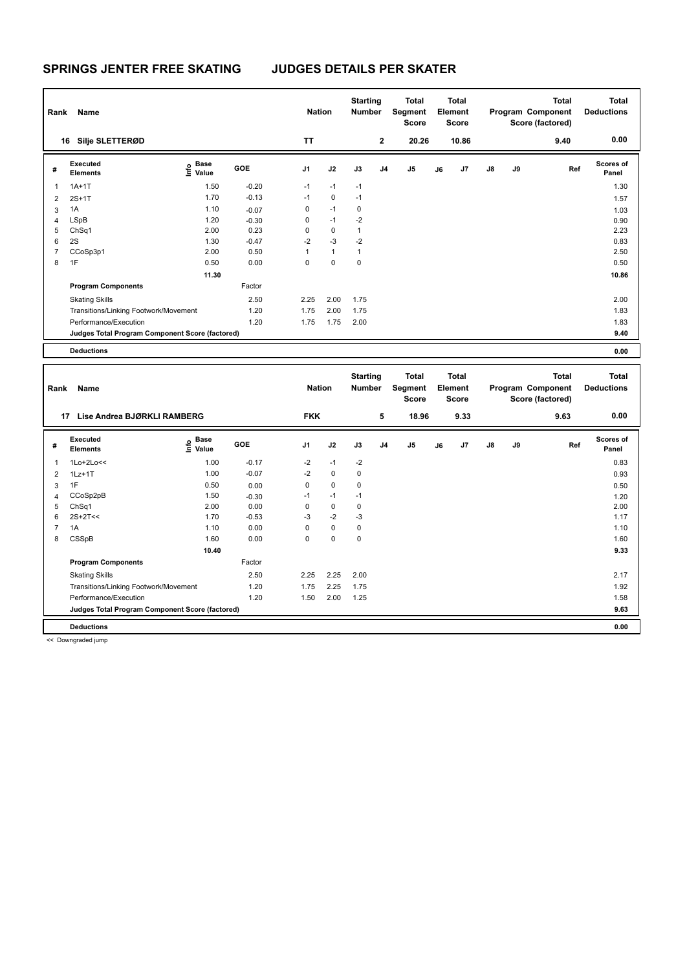| Rank | Name                                            |                                             |         | <b>Nation</b>  |              | <b>Starting</b><br><b>Number</b> |                | Total<br>Segment<br><b>Score</b> |    | Total<br>Element<br><b>Score</b> |               |    | <b>Total</b><br>Program Component<br>Score (factored) | <b>Total</b><br><b>Deductions</b> |
|------|-------------------------------------------------|---------------------------------------------|---------|----------------|--------------|----------------------------------|----------------|----------------------------------|----|----------------------------------|---------------|----|-------------------------------------------------------|-----------------------------------|
|      | Silje SLETTERØD<br>16                           |                                             |         | TT             |              |                                  | $\mathbf 2$    | 20.26                            |    | 10.86                            |               |    | 9.40                                                  | 0.00                              |
| #    | Executed<br><b>Elements</b>                     | <b>Base</b><br>e <sup>Base</sup><br>⊆ Value | GOE     | J <sub>1</sub> | J2           | J3                               | J <sub>4</sub> | J <sub>5</sub>                   | J6 | J7                               | $\mathsf{J}8$ | J9 | Ref                                                   | <b>Scores of</b><br>Panel         |
| 1    | $1A+1T$                                         | 1.50                                        | $-0.20$ | $-1$           | $-1$         | $-1$                             |                |                                  |    |                                  |               |    |                                                       | 1.30                              |
| 2    | $2S+1T$                                         | 1.70                                        | $-0.13$ | $-1$           | $\mathbf 0$  | $-1$                             |                |                                  |    |                                  |               |    |                                                       | 1.57                              |
| 3    | 1A                                              | 1.10                                        | $-0.07$ | 0              | $-1$         | 0                                |                |                                  |    |                                  |               |    |                                                       | 1.03                              |
| 4    | LSpB                                            | 1.20                                        | $-0.30$ | 0              | $-1$         | $-2$                             |                |                                  |    |                                  |               |    |                                                       | 0.90                              |
| 5    | ChSq1                                           | 2.00                                        | 0.23    | 0              | $\mathbf 0$  | 1                                |                |                                  |    |                                  |               |    |                                                       | 2.23                              |
| 6    | 2S                                              | 1.30                                        | $-0.47$ | $-2$           | $-3$         | $-2$                             |                |                                  |    |                                  |               |    |                                                       | 0.83                              |
|      | CCoSp3p1                                        | 2.00                                        | 0.50    | 1              | $\mathbf{1}$ | 1                                |                |                                  |    |                                  |               |    |                                                       | 2.50                              |
| 8    | 1F                                              | 0.50                                        | 0.00    | 0              | $\pmb{0}$    | 0                                |                |                                  |    |                                  |               |    |                                                       | 0.50                              |
|      |                                                 | 11.30                                       |         |                |              |                                  |                |                                  |    |                                  |               |    |                                                       | 10.86                             |
|      | <b>Program Components</b>                       |                                             | Factor  |                |              |                                  |                |                                  |    |                                  |               |    |                                                       |                                   |
|      | <b>Skating Skills</b>                           |                                             | 2.50    | 2.25           | 2.00         | 1.75                             |                |                                  |    |                                  |               |    |                                                       | 2.00                              |
|      | Transitions/Linking Footwork/Movement           |                                             | 1.20    | 1.75           | 2.00         | 1.75                             |                |                                  |    |                                  |               |    |                                                       | 1.83                              |
|      | Performance/Execution                           |                                             | 1.20    | 1.75           | 1.75         | 2.00                             |                |                                  |    |                                  |               |    |                                                       | 1.83                              |
|      | Judges Total Program Component Score (factored) |                                             |         |                |              |                                  |                |                                  |    |                                  |               |    |                                                       | 9.40                              |
|      | <b>Deductions</b>                               |                                             |         |                |              |                                  |                |                                  |    |                                  |               |    |                                                       | 0.00                              |

| Rank           | Name                                            |                   |         | <b>Nation</b>  |             | <b>Starting</b><br><b>Number</b> |                | <b>Total</b><br>Segment<br><b>Score</b> |    | <b>Total</b><br>Element<br><b>Score</b> |               |    | Total<br>Program Component<br>Score (factored) | <b>Total</b><br><b>Deductions</b> |
|----------------|-------------------------------------------------|-------------------|---------|----------------|-------------|----------------------------------|----------------|-----------------------------------------|----|-----------------------------------------|---------------|----|------------------------------------------------|-----------------------------------|
|                | Lise Andrea BJØRKLI RAMBERG<br>17               |                   |         | <b>FKK</b>     |             |                                  | 5              | 18.96                                   |    | 9.33                                    |               |    | 9.63                                           | 0.00                              |
| #              | <b>Executed</b><br><b>Elements</b>              | e Base<br>E Value | GOE     | J <sub>1</sub> | J2          | J3                               | J <sub>4</sub> | J5                                      | J6 | J7                                      | $\mathsf{J}8$ | J9 | Ref                                            | <b>Scores of</b><br>Panel         |
|                | $1Lo+2Lo<<$                                     | 1.00              | $-0.17$ | $-2$           | $-1$        | $-2$                             |                |                                         |    |                                         |               |    |                                                | 0.83                              |
| $\overline{2}$ | $1Lz+1T$                                        | 1.00              | $-0.07$ | $-2$           | $\mathbf 0$ | 0                                |                |                                         |    |                                         |               |    |                                                | 0.93                              |
| 3              | 1F                                              | 0.50              | 0.00    | $\mathbf 0$    | $\mathbf 0$ | $\mathbf 0$                      |                |                                         |    |                                         |               |    |                                                | 0.50                              |
| 4              | CCoSp2pB                                        | 1.50              | $-0.30$ | $-1$           | $-1$        | $-1$                             |                |                                         |    |                                         |               |    |                                                | 1.20                              |
| 5              | ChSq1                                           | 2.00              | 0.00    | 0              | $\mathbf 0$ | 0                                |                |                                         |    |                                         |               |    |                                                | 2.00                              |
| 6              | $2S+2T<<$                                       | 1.70              | $-0.53$ | $-3$           | $-2$        | $-3$                             |                |                                         |    |                                         |               |    |                                                | 1.17                              |
| 7              | 1A                                              | 1.10              | 0.00    | $\Omega$       | $\mathbf 0$ | 0                                |                |                                         |    |                                         |               |    |                                                | 1.10                              |
| 8              | CSSpB                                           | 1.60              | 0.00    | $\mathbf 0$    | $\mathbf 0$ | $\mathbf 0$                      |                |                                         |    |                                         |               |    |                                                | 1.60                              |
|                |                                                 | 10.40             |         |                |             |                                  |                |                                         |    |                                         |               |    |                                                | 9.33                              |
|                | <b>Program Components</b>                       |                   | Factor  |                |             |                                  |                |                                         |    |                                         |               |    |                                                |                                   |
|                | <b>Skating Skills</b>                           |                   | 2.50    | 2.25           | 2.25        | 2.00                             |                |                                         |    |                                         |               |    |                                                | 2.17                              |
|                | Transitions/Linking Footwork/Movement           |                   | 1.20    | 1.75           | 2.25        | 1.75                             |                |                                         |    |                                         |               |    |                                                | 1.92                              |
|                | Performance/Execution                           |                   | 1.20    | 1.50           | 2.00        | 1.25                             |                |                                         |    |                                         |               |    |                                                | 1.58                              |
|                | Judges Total Program Component Score (factored) |                   |         |                |             |                                  |                |                                         |    |                                         |               |    |                                                | 9.63                              |
|                | <b>Deductions</b>                               |                   |         |                |             |                                  |                |                                         |    |                                         |               |    |                                                | 0.00                              |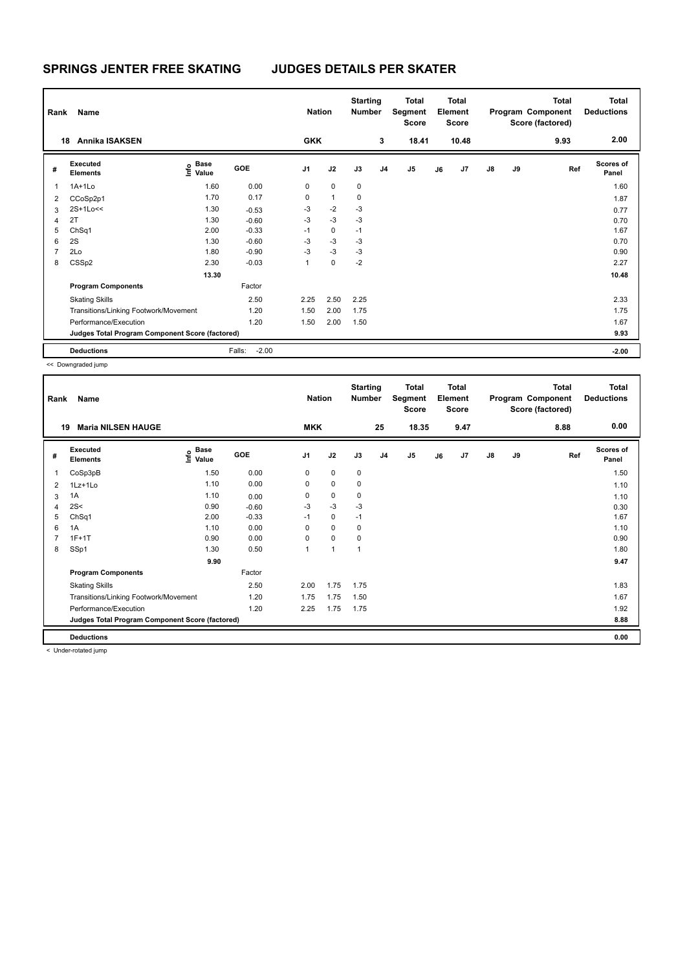| Rank           | Name                                            |                            |                   | <b>Nation</b>  |              | <b>Starting</b><br><b>Number</b> |                | Total<br>Segment<br><b>Score</b> |    | Total<br>Element<br><b>Score</b> |               |    | Total<br>Program Component<br>Score (factored) | <b>Total</b><br><b>Deductions</b> |
|----------------|-------------------------------------------------|----------------------------|-------------------|----------------|--------------|----------------------------------|----------------|----------------------------------|----|----------------------------------|---------------|----|------------------------------------------------|-----------------------------------|
| 18             | <b>Annika ISAKSEN</b>                           |                            |                   | <b>GKK</b>     |              |                                  | 3              | 18.41                            |    | 10.48                            |               |    | 9.93                                           | 2.00                              |
| #              | Executed<br><b>Elements</b>                     | Base<br>$\frac{e}{2}$ Base | GOE               | J <sub>1</sub> | J2           | J3                               | J <sub>4</sub> | J5                               | J6 | J7                               | $\mathsf{J}8$ | J9 | Ref                                            | <b>Scores of</b><br>Panel         |
| 1              | $1A+1Lo$                                        | 1.60                       | 0.00              | 0              | $\mathbf 0$  | 0                                |                |                                  |    |                                  |               |    |                                                | 1.60                              |
| 2              | CCoSp2p1                                        | 1.70                       | 0.17              | 0              | $\mathbf{1}$ | 0                                |                |                                  |    |                                  |               |    |                                                | 1.87                              |
| 3              | 2S+1Lo<<                                        | 1.30                       | $-0.53$           | $-3$           | $-2$         | $-3$                             |                |                                  |    |                                  |               |    |                                                | 0.77                              |
| 4              | 2T                                              | 1.30                       | $-0.60$           | $-3$           | $-3$         | $-3$                             |                |                                  |    |                                  |               |    |                                                | 0.70                              |
| 5              | ChSq1                                           | 2.00                       | $-0.33$           | $-1$           | 0            | $-1$                             |                |                                  |    |                                  |               |    |                                                | 1.67                              |
| 6              | 2S                                              | 1.30                       | $-0.60$           | -3             | $-3$         | $-3$                             |                |                                  |    |                                  |               |    |                                                | 0.70                              |
| $\overline{7}$ | 2Lo                                             | 1.80                       | $-0.90$           | $-3$           | $-3$         | $-3$                             |                |                                  |    |                                  |               |    |                                                | 0.90                              |
| 8              | CSSp2                                           | 2.30                       | $-0.03$           | $\mathbf{1}$   | $\mathbf 0$  | $-2$                             |                |                                  |    |                                  |               |    |                                                | 2.27                              |
|                |                                                 | 13.30                      |                   |                |              |                                  |                |                                  |    |                                  |               |    |                                                | 10.48                             |
|                | <b>Program Components</b>                       |                            | Factor            |                |              |                                  |                |                                  |    |                                  |               |    |                                                |                                   |
|                | <b>Skating Skills</b>                           |                            | 2.50              | 2.25           | 2.50         | 2.25                             |                |                                  |    |                                  |               |    |                                                | 2.33                              |
|                | Transitions/Linking Footwork/Movement           |                            | 1.20              | 1.50           | 2.00         | 1.75                             |                |                                  |    |                                  |               |    |                                                | 1.75                              |
|                | Performance/Execution                           |                            | 1.20              | 1.50           | 2.00         | 1.50                             |                |                                  |    |                                  |               |    |                                                | 1.67                              |
|                | Judges Total Program Component Score (factored) |                            |                   |                |              |                                  |                |                                  |    |                                  |               |    |                                                | 9.93                              |
|                | <b>Deductions</b>                               |                            | $-2.00$<br>Falls: |                |              |                                  |                |                                  |    |                                  |               |    |                                                | $-2.00$                           |

| Rank | Name                                            |                                  |         | <b>Nation</b>  |              | <b>Starting</b><br><b>Number</b> |                | <b>Total</b><br>Segment<br><b>Score</b> |    | <b>Total</b><br>Element<br><b>Score</b> |               |    | <b>Total</b><br>Program Component<br>Score (factored) | Total<br><b>Deductions</b> |
|------|-------------------------------------------------|----------------------------------|---------|----------------|--------------|----------------------------------|----------------|-----------------------------------------|----|-----------------------------------------|---------------|----|-------------------------------------------------------|----------------------------|
| 19   | <b>Maria NILSEN HAUGE</b>                       |                                  |         | <b>MKK</b>     |              |                                  | 25             | 18.35                                   |    | 9.47                                    |               |    | 8.88                                                  | 0.00                       |
| #    | Executed<br><b>Elements</b>                     | <b>Base</b><br>e Base<br>E Value | GOE     | J <sub>1</sub> | J2           | J3                               | J <sub>4</sub> | J5                                      | J6 | J7                                      | $\mathsf{J}8$ | J9 | Ref                                                   | Scores of<br>Panel         |
| 1    | CoSp3pB                                         | 1.50                             | 0.00    | 0              | 0            | 0                                |                |                                         |    |                                         |               |    |                                                       | 1.50                       |
| 2    | 1Lz+1Lo                                         | 1.10                             | 0.00    | 0              | $\mathbf 0$  | 0                                |                |                                         |    |                                         |               |    |                                                       | 1.10                       |
| 3    | 1A                                              | 1.10                             | 0.00    | 0              | 0            | 0                                |                |                                         |    |                                         |               |    |                                                       | 1.10                       |
| 4    | 2S<                                             | 0.90                             | $-0.60$ | $-3$           | $-3$         | -3                               |                |                                         |    |                                         |               |    |                                                       | 0.30                       |
| 5    | ChSq1                                           | 2.00                             | $-0.33$ | $-1$           | 0            | $-1$                             |                |                                         |    |                                         |               |    |                                                       | 1.67                       |
| 6    | 1A                                              | 1.10                             | 0.00    | 0              | $\mathbf 0$  | 0                                |                |                                         |    |                                         |               |    |                                                       | 1.10                       |
| 7    | $1F+1T$                                         | 0.90                             | 0.00    | 0              | $\mathbf 0$  | 0                                |                |                                         |    |                                         |               |    |                                                       | 0.90                       |
| 8    | SSp1                                            | 1.30                             | 0.50    | $\mathbf{1}$   | $\mathbf{1}$ | $\mathbf{1}$                     |                |                                         |    |                                         |               |    |                                                       | 1.80                       |
|      |                                                 | 9.90                             |         |                |              |                                  |                |                                         |    |                                         |               |    |                                                       | 9.47                       |
|      | <b>Program Components</b>                       |                                  | Factor  |                |              |                                  |                |                                         |    |                                         |               |    |                                                       |                            |
|      | <b>Skating Skills</b>                           |                                  | 2.50    | 2.00           | 1.75         | 1.75                             |                |                                         |    |                                         |               |    |                                                       | 1.83                       |
|      | Transitions/Linking Footwork/Movement           |                                  | 1.20    | 1.75           | 1.75         | 1.50                             |                |                                         |    |                                         |               |    |                                                       | 1.67                       |
|      | Performance/Execution                           |                                  | 1.20    | 2.25           | 1.75         | 1.75                             |                |                                         |    |                                         |               |    |                                                       | 1.92                       |
|      | Judges Total Program Component Score (factored) |                                  |         |                |              |                                  |                |                                         |    |                                         |               |    |                                                       | 8.88                       |
|      | <b>Deductions</b>                               |                                  |         |                |              |                                  |                |                                         |    |                                         |               |    |                                                       | 0.00                       |

< Under-rotated jump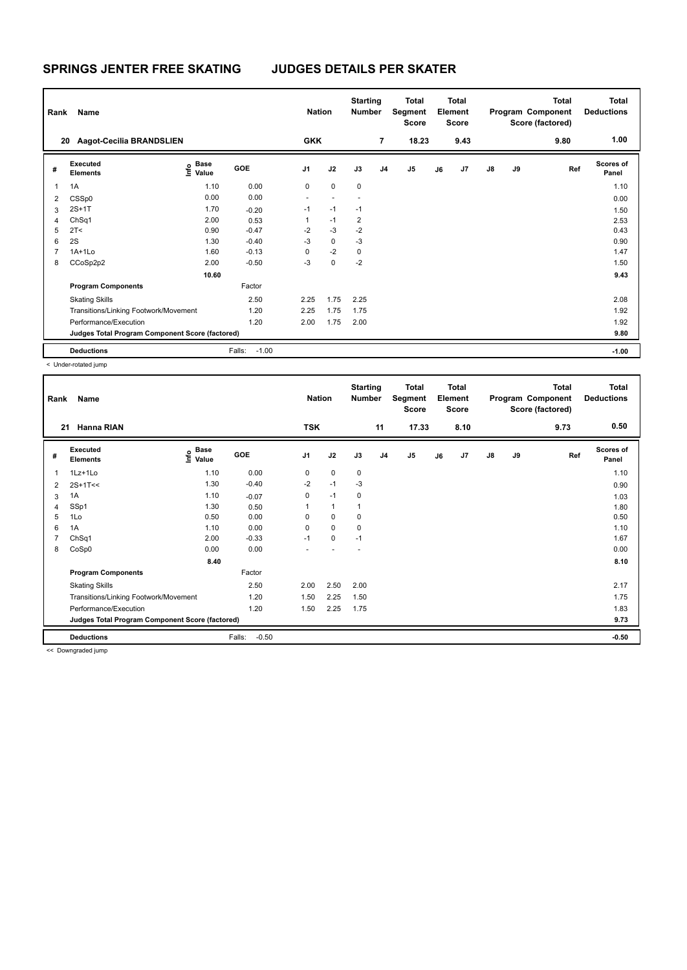| Rank           | Name                                            |                                    |                   | <b>Nation</b>  |             | <b>Starting</b><br><b>Number</b> |                | Total<br>Segment<br><b>Score</b> |    | <b>Total</b><br>Element<br>Score |               |    | <b>Total</b><br>Program Component<br>Score (factored) | <b>Total</b><br><b>Deductions</b> |
|----------------|-------------------------------------------------|------------------------------------|-------------------|----------------|-------------|----------------------------------|----------------|----------------------------------|----|----------------------------------|---------------|----|-------------------------------------------------------|-----------------------------------|
| 20             | <b>Aagot-Cecilia BRANDSLIEN</b>                 |                                    |                   | <b>GKK</b>     |             |                                  | $\overline{7}$ | 18.23                            |    | 9.43                             |               |    | 9.80                                                  | 1.00                              |
| #              | Executed<br><b>Elements</b>                     | <b>Base</b><br>$\frac{6}{5}$ Value | <b>GOE</b>        | J <sub>1</sub> | J2          | J3                               | J <sub>4</sub> | J <sub>5</sub>                   | J6 | J7                               | $\mathsf{J}8$ | J9 | Ref                                                   | <b>Scores of</b><br>Panel         |
| $\mathbf{1}$   | 1A                                              | 1.10                               | 0.00              | 0              | $\mathbf 0$ | 0                                |                |                                  |    |                                  |               |    |                                                       | 1.10                              |
| $\overline{2}$ | CSSp0                                           | 0.00                               | 0.00              | ٠              |             |                                  |                |                                  |    |                                  |               |    |                                                       | 0.00                              |
| 3              | $2S+1T$                                         | 1.70                               | $-0.20$           | $-1$           | $-1$        | $-1$                             |                |                                  |    |                                  |               |    |                                                       | 1.50                              |
| 4              | ChSq1                                           | 2.00                               | 0.53              | 1              | $-1$        | $\overline{\mathbf{c}}$          |                |                                  |    |                                  |               |    |                                                       | 2.53                              |
| 5              | 2T <                                            | 0.90                               | $-0.47$           | $-2$           | $-3$        | $-2$                             |                |                                  |    |                                  |               |    |                                                       | 0.43                              |
| 6              | 2S                                              | 1.30                               | $-0.40$           | $-3$           | $\mathbf 0$ | $-3$                             |                |                                  |    |                                  |               |    |                                                       | 0.90                              |
| 7              | $1A+1L0$                                        | 1.60                               | $-0.13$           | $\Omega$       | $-2$        | $\mathbf 0$                      |                |                                  |    |                                  |               |    |                                                       | 1.47                              |
| 8              | CCoSp2p2                                        | 2.00                               | $-0.50$           | $-3$           | $\mathbf 0$ | $-2$                             |                |                                  |    |                                  |               |    |                                                       | 1.50                              |
|                |                                                 | 10.60                              |                   |                |             |                                  |                |                                  |    |                                  |               |    |                                                       | 9.43                              |
|                | <b>Program Components</b>                       |                                    | Factor            |                |             |                                  |                |                                  |    |                                  |               |    |                                                       |                                   |
|                | <b>Skating Skills</b>                           |                                    | 2.50              | 2.25           | 1.75        | 2.25                             |                |                                  |    |                                  |               |    |                                                       | 2.08                              |
|                | Transitions/Linking Footwork/Movement           |                                    | 1.20              | 2.25           | 1.75        | 1.75                             |                |                                  |    |                                  |               |    |                                                       | 1.92                              |
|                | Performance/Execution                           |                                    | 1.20              | 2.00           | 1.75        | 2.00                             |                |                                  |    |                                  |               |    |                                                       | 1.92                              |
|                | Judges Total Program Component Score (factored) |                                    |                   |                |             |                                  |                |                                  |    |                                  |               |    |                                                       | 9.80                              |
|                | <b>Deductions</b>                               |                                    | $-1.00$<br>Falls: |                |             |                                  |                |                                  |    |                                  |               |    |                                                       | $-1.00$                           |

< Under-rotated jump

| Rank           | Name                                            |                                           |                   | <b>Nation</b>  |              | <b>Starting</b><br>Number |                | <b>Total</b><br>Segment<br><b>Score</b> |    | <b>Total</b><br>Element<br><b>Score</b> |               |    | <b>Total</b><br>Program Component<br>Score (factored) | <b>Total</b><br><b>Deductions</b> |
|----------------|-------------------------------------------------|-------------------------------------------|-------------------|----------------|--------------|---------------------------|----------------|-----------------------------------------|----|-----------------------------------------|---------------|----|-------------------------------------------------------|-----------------------------------|
| 21             | Hanna RIAN                                      |                                           |                   | <b>TSK</b>     |              |                           | 11             | 17.33                                   |    | 8.10                                    |               |    | 9.73                                                  | 0.50                              |
| #              | <b>Executed</b><br><b>Elements</b>              | $\frac{6}{5}$ Base<br>$\frac{1}{5}$ Value | GOE               | J <sub>1</sub> | J2           | J3                        | J <sub>4</sub> | J <sub>5</sub>                          | J6 | J7                                      | $\mathsf{J}8$ | J9 | Ref                                                   | <b>Scores of</b><br>Panel         |
| 1              | 1Lz+1Lo                                         | 1.10                                      | 0.00              | 0              | 0            | 0                         |                |                                         |    |                                         |               |    |                                                       | 1.10                              |
| $\overline{2}$ | $2S+1T<<$                                       | 1.30                                      | $-0.40$           | $-2$           | $-1$         | -3                        |                |                                         |    |                                         |               |    |                                                       | 0.90                              |
| 3              | 1A                                              | 1.10                                      | $-0.07$           | 0              | $-1$         | 0                         |                |                                         |    |                                         |               |    |                                                       | 1.03                              |
| 4              | SSp1                                            | 1.30                                      | 0.50              |                | $\mathbf{1}$ |                           |                |                                         |    |                                         |               |    |                                                       | 1.80                              |
| 5              | 1Lo                                             | 0.50                                      | 0.00              | 0              | 0            | 0                         |                |                                         |    |                                         |               |    |                                                       | 0.50                              |
| 6              | 1A                                              | 1.10                                      | 0.00              | $\Omega$       | $\mathbf 0$  | 0                         |                |                                         |    |                                         |               |    |                                                       | 1.10                              |
| 7              | ChSq1                                           | 2.00                                      | $-0.33$           | $-1$           | 0            | $-1$                      |                |                                         |    |                                         |               |    |                                                       | 1.67                              |
| 8              | CoSp0                                           | 0.00                                      | 0.00              |                |              |                           |                |                                         |    |                                         |               |    |                                                       | 0.00                              |
|                |                                                 | 8.40                                      |                   |                |              |                           |                |                                         |    |                                         |               |    |                                                       | 8.10                              |
|                | <b>Program Components</b>                       |                                           | Factor            |                |              |                           |                |                                         |    |                                         |               |    |                                                       |                                   |
|                | <b>Skating Skills</b>                           |                                           | 2.50              | 2.00           | 2.50         | 2.00                      |                |                                         |    |                                         |               |    |                                                       | 2.17                              |
|                | Transitions/Linking Footwork/Movement           |                                           | 1.20              | 1.50           | 2.25         | 1.50                      |                |                                         |    |                                         |               |    |                                                       | 1.75                              |
|                | Performance/Execution                           |                                           | 1.20              | 1.50           | 2.25         | 1.75                      |                |                                         |    |                                         |               |    |                                                       | 1.83                              |
|                | Judges Total Program Component Score (factored) |                                           |                   |                |              |                           |                |                                         |    |                                         |               |    |                                                       | 9.73                              |
|                | <b>Deductions</b>                               |                                           | Falls:<br>$-0.50$ |                |              |                           |                |                                         |    |                                         |               |    |                                                       | $-0.50$                           |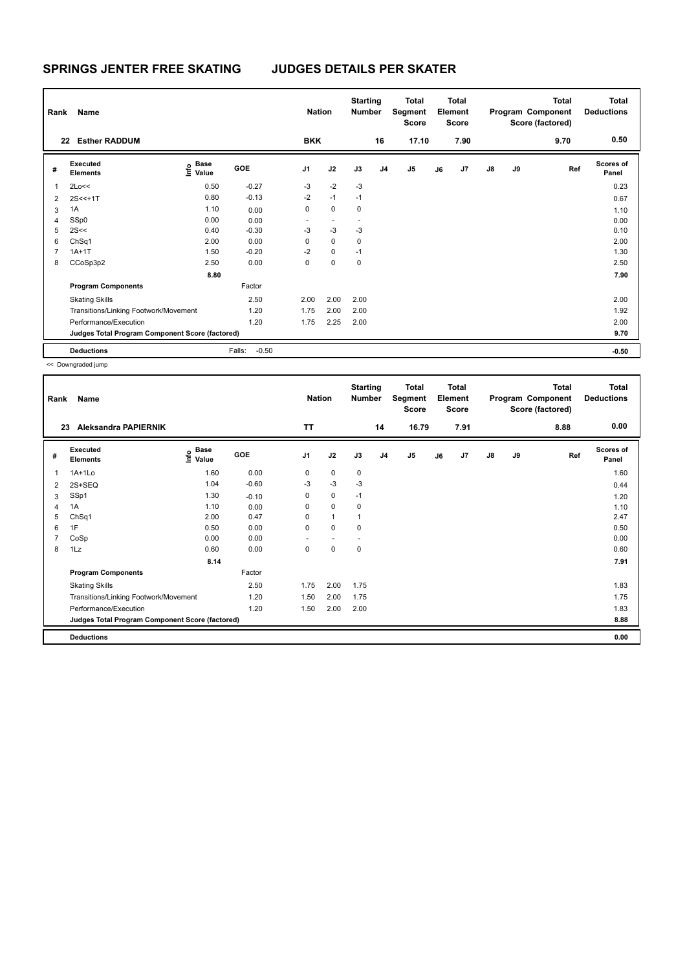| Rank         | Name<br><b>Esther RADDUM</b>                    |                                    |                   | <b>Nation</b><br><b>BKK</b> |             | <b>Starting</b><br><b>Number</b> | 16             | Total<br>Segment<br><b>Score</b> |    | <b>Total</b><br>Element<br><b>Score</b> |               |    | <b>Total</b><br>Program Component<br>Score (factored) | <b>Total</b><br><b>Deductions</b><br>0.50 |
|--------------|-------------------------------------------------|------------------------------------|-------------------|-----------------------------|-------------|----------------------------------|----------------|----------------------------------|----|-----------------------------------------|---------------|----|-------------------------------------------------------|-------------------------------------------|
| 22           |                                                 |                                    |                   |                             |             |                                  |                | 17.10                            |    | 7.90                                    |               |    | 9.70                                                  |                                           |
| #            | Executed<br><b>Elements</b>                     | <b>Base</b><br>$\frac{6}{5}$ Value | <b>GOE</b>        | J <sub>1</sub>              | J2          | J3                               | J <sub>4</sub> | J <sub>5</sub>                   | J6 | J7                                      | $\mathsf{J}8$ | J9 | Ref                                                   | <b>Scores of</b><br>Panel                 |
| $\mathbf{1}$ | 2Lo<<                                           | 0.50                               | $-0.27$           | $-3$                        | $-2$        | $-3$                             |                |                                  |    |                                         |               |    |                                                       | 0.23                                      |
| 2            | $2S < +1T$                                      | 0.80                               | $-0.13$           | $-2$                        | $-1$        | $-1$                             |                |                                  |    |                                         |               |    |                                                       | 0.67                                      |
| 3            | 1A                                              | 1.10                               | 0.00              | 0                           | $\mathbf 0$ | 0                                |                |                                  |    |                                         |               |    |                                                       | 1.10                                      |
| 4            | SSp0                                            | 0.00                               | 0.00              | ٠                           |             | ٠                                |                |                                  |    |                                         |               |    |                                                       | 0.00                                      |
| 5            | 2S<<                                            | 0.40                               | $-0.30$           | $-3$                        | $-3$        | $-3$                             |                |                                  |    |                                         |               |    |                                                       | 0.10                                      |
| 6            | ChSq1                                           | 2.00                               | 0.00              | 0                           | $\mathbf 0$ | $\mathbf 0$                      |                |                                  |    |                                         |               |    |                                                       | 2.00                                      |
| 7            | $1A+1T$                                         | 1.50                               | $-0.20$           | $-2$                        | $\mathbf 0$ | $-1$                             |                |                                  |    |                                         |               |    |                                                       | 1.30                                      |
| 8            | CCoSp3p2                                        | 2.50                               | 0.00              | 0                           | $\mathbf 0$ | 0                                |                |                                  |    |                                         |               |    |                                                       | 2.50                                      |
|              |                                                 | 8.80                               |                   |                             |             |                                  |                |                                  |    |                                         |               |    |                                                       | 7.90                                      |
|              | <b>Program Components</b>                       |                                    | Factor            |                             |             |                                  |                |                                  |    |                                         |               |    |                                                       |                                           |
|              | <b>Skating Skills</b>                           |                                    | 2.50              | 2.00                        | 2.00        | 2.00                             |                |                                  |    |                                         |               |    |                                                       | 2.00                                      |
|              | Transitions/Linking Footwork/Movement           |                                    | 1.20              | 1.75                        | 2.00        | 2.00                             |                |                                  |    |                                         |               |    |                                                       | 1.92                                      |
|              | Performance/Execution                           |                                    | 1.20              | 1.75                        | 2.25        | 2.00                             |                |                                  |    |                                         |               |    |                                                       | 2.00                                      |
|              | Judges Total Program Component Score (factored) |                                    |                   |                             |             |                                  |                |                                  |    |                                         |               |    |                                                       | 9.70                                      |
|              | <b>Deductions</b>                               |                                    | $-0.50$<br>Falls: |                             |             |                                  |                |                                  |    |                                         |               |    |                                                       | $-0.50$                                   |

| Rank | Name                                            |                                             |            | <b>Nation</b>  |                          | <b>Starting</b><br><b>Number</b> |                | Total<br>Segment<br><b>Score</b> |    | <b>Total</b><br>Element<br><b>Score</b> |               |    | <b>Total</b><br>Program Component<br>Score (factored) | <b>Total</b><br><b>Deductions</b> |
|------|-------------------------------------------------|---------------------------------------------|------------|----------------|--------------------------|----------------------------------|----------------|----------------------------------|----|-----------------------------------------|---------------|----|-------------------------------------------------------|-----------------------------------|
| 23   | Aleksandra PAPIERNIK                            |                                             |            | <b>TT</b>      |                          |                                  | 14             | 16.79                            |    | 7.91                                    |               |    | 8.88                                                  | 0.00                              |
| #    | Executed<br><b>Elements</b>                     | <b>Base</b><br>e <sup>Base</sup><br>⊆ Value | <b>GOE</b> | J <sub>1</sub> | J2                       | J3                               | J <sub>4</sub> | J <sub>5</sub>                   | J6 | J7                                      | $\mathsf{J}8$ | J9 | Ref                                                   | <b>Scores of</b><br>Panel         |
| 1    | $1A+1L0$                                        | 1.60                                        | 0.00       | 0              | $\mathbf 0$              | 0                                |                |                                  |    |                                         |               |    |                                                       | 1.60                              |
| 2    | $2S+SEQ$                                        | 1.04                                        | $-0.60$    | -3             | $-3$                     | -3                               |                |                                  |    |                                         |               |    |                                                       | 0.44                              |
| 3    | SSp1                                            | 1.30                                        | $-0.10$    | 0              | $\mathbf 0$              | $-1$                             |                |                                  |    |                                         |               |    |                                                       | 1.20                              |
| 4    | 1A                                              | 1.10                                        | 0.00       | 0              | $\mathbf 0$              | $\mathbf 0$                      |                |                                  |    |                                         |               |    |                                                       | 1.10                              |
| 5    | ChSq1                                           | 2.00                                        | 0.47       | 0              | $\mathbf{1}$             | $\mathbf{1}$                     |                |                                  |    |                                         |               |    |                                                       | 2.47                              |
| 6    | 1F                                              | 0.50                                        | 0.00       | 0              | $\mathbf 0$              | 0                                |                |                                  |    |                                         |               |    |                                                       | 0.50                              |
| 7    | CoSp                                            | 0.00                                        | 0.00       | ٠              | $\overline{\phantom{a}}$ |                                  |                |                                  |    |                                         |               |    |                                                       | 0.00                              |
| 8    | 1Lz                                             | 0.60                                        | 0.00       | 0              | $\pmb{0}$                | 0                                |                |                                  |    |                                         |               |    |                                                       | 0.60                              |
|      |                                                 | 8.14                                        |            |                |                          |                                  |                |                                  |    |                                         |               |    |                                                       | 7.91                              |
|      | <b>Program Components</b>                       |                                             | Factor     |                |                          |                                  |                |                                  |    |                                         |               |    |                                                       |                                   |
|      | <b>Skating Skills</b>                           |                                             | 2.50       | 1.75           | 2.00                     | 1.75                             |                |                                  |    |                                         |               |    |                                                       | 1.83                              |
|      | Transitions/Linking Footwork/Movement           |                                             | 1.20       | 1.50           | 2.00                     | 1.75                             |                |                                  |    |                                         |               |    |                                                       | 1.75                              |
|      | Performance/Execution                           |                                             | 1.20       | 1.50           | 2.00                     | 2.00                             |                |                                  |    |                                         |               |    |                                                       | 1.83                              |
|      | Judges Total Program Component Score (factored) |                                             |            |                |                          |                                  |                |                                  |    |                                         |               |    |                                                       | 8.88                              |
|      | <b>Deductions</b>                               |                                             |            |                |                          |                                  |                |                                  |    |                                         |               |    |                                                       | 0.00                              |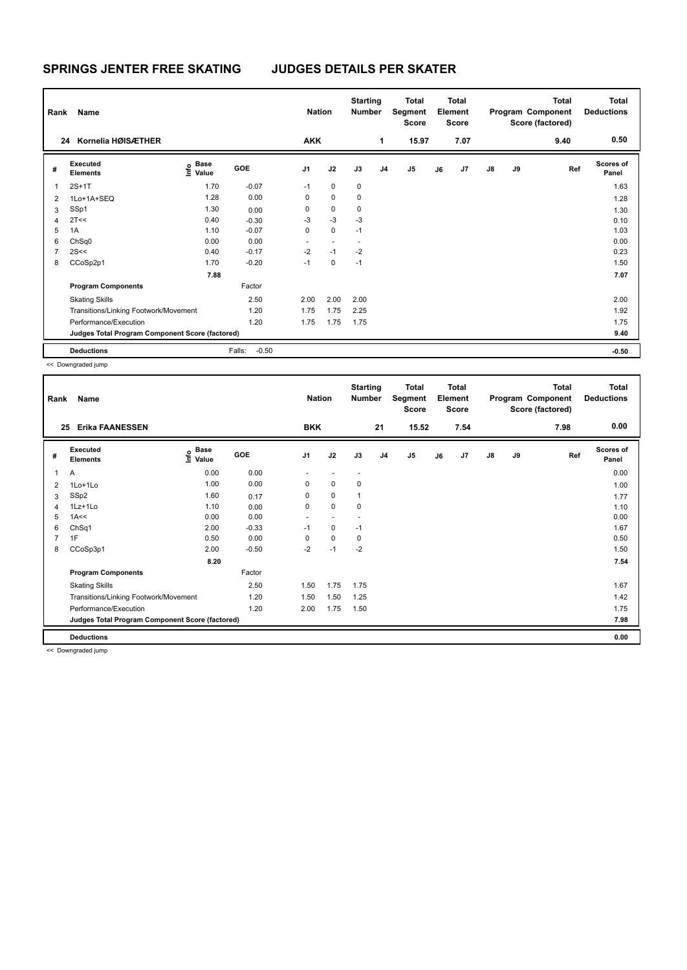| Rank | Name                                            |                            |                   | <b>Nation</b>  |             | <b>Starting</b><br><b>Number</b> |                | Total<br>Segment<br>Score |    | <b>Total</b><br>Element<br>Score |               |    | <b>Total</b><br>Program Component<br>Score (factored) | Total<br><b>Deductions</b> |
|------|-------------------------------------------------|----------------------------|-------------------|----------------|-------------|----------------------------------|----------------|---------------------------|----|----------------------------------|---------------|----|-------------------------------------------------------|----------------------------|
| 24   | Kornelia HØISÆTHER                              |                            |                   | <b>AKK</b>     |             |                                  | 1              | 15.97                     |    | 7.07                             |               |    | 9.40                                                  | 0.50                       |
| #    | <b>Executed</b><br><b>Elements</b>              | Base<br>$\frac{e}{2}$ Base | <b>GOE</b>        | J <sub>1</sub> | J2          | J3                               | J <sub>4</sub> | J <sub>5</sub>            | J6 | J7                               | $\mathsf{J}8$ | J9 | Ref                                                   | <b>Scores of</b><br>Panel  |
| 1    | $2S+1T$                                         | 1.70                       | $-0.07$           | $-1$           | $\mathbf 0$ | 0                                |                |                           |    |                                  |               |    |                                                       | 1.63                       |
| 2    | 1Lo+1A+SEQ                                      | 1.28                       | 0.00              | 0              | 0           | 0                                |                |                           |    |                                  |               |    |                                                       | 1.28                       |
| 3    | SSp1                                            | 1.30                       | 0.00              | 0              | $\mathbf 0$ | 0                                |                |                           |    |                                  |               |    |                                                       | 1.30                       |
| 4    | 2T<<                                            | 0.40                       | $-0.30$           | -3             | $-3$        | $-3$                             |                |                           |    |                                  |               |    |                                                       | 0.10                       |
| 5    | 1A                                              | 1.10                       | $-0.07$           | 0              | $\mathbf 0$ | $-1$                             |                |                           |    |                                  |               |    |                                                       | 1.03                       |
| 6    | ChSq0                                           | 0.00                       | 0.00              | ٠              |             |                                  |                |                           |    |                                  |               |    |                                                       | 0.00                       |
| 7    | 2S<<                                            | 0.40                       | $-0.17$           | $-2$           | $-1$        | $-2$                             |                |                           |    |                                  |               |    |                                                       | 0.23                       |
| 8    | CCoSp2p1                                        | 1.70                       | $-0.20$           | $-1$           | $\mathbf 0$ | $-1$                             |                |                           |    |                                  |               |    |                                                       | 1.50                       |
|      |                                                 | 7.88                       |                   |                |             |                                  |                |                           |    |                                  |               |    |                                                       | 7.07                       |
|      | <b>Program Components</b>                       |                            | Factor            |                |             |                                  |                |                           |    |                                  |               |    |                                                       |                            |
|      | <b>Skating Skills</b>                           |                            | 2.50              | 2.00           | 2.00        | 2.00                             |                |                           |    |                                  |               |    |                                                       | 2.00                       |
|      | Transitions/Linking Footwork/Movement           |                            | 1.20              | 1.75           | 1.75        | 2.25                             |                |                           |    |                                  |               |    |                                                       | 1.92                       |
|      | Performance/Execution                           |                            | 1.20              | 1.75           | 1.75        | 1.75                             |                |                           |    |                                  |               |    |                                                       | 1.75                       |
|      | Judges Total Program Component Score (factored) |                            |                   |                |             |                                  |                |                           |    |                                  |               |    |                                                       | 9.40                       |
|      | <b>Deductions</b>                               |                            | $-0.50$<br>Falls: |                |             |                                  |                |                           |    |                                  |               |    |                                                       | $-0.50$                    |

| Rank           | Name                                            |                                           |         | <b>Nation</b>  |             | <b>Starting</b><br><b>Number</b> |                | <b>Total</b><br>Segment<br><b>Score</b> |    | <b>Total</b><br>Element<br><b>Score</b> |               |    | <b>Total</b><br>Program Component<br>Score (factored) | Total<br><b>Deductions</b> |
|----------------|-------------------------------------------------|-------------------------------------------|---------|----------------|-------------|----------------------------------|----------------|-----------------------------------------|----|-----------------------------------------|---------------|----|-------------------------------------------------------|----------------------------|
| 25             | <b>Erika FAANESSEN</b>                          |                                           |         | <b>BKK</b>     |             |                                  | 21             | 15.52                                   |    | 7.54                                    |               |    | 7.98                                                  | 0.00                       |
| #              | Executed<br><b>Elements</b>                     | $\frac{e}{E}$ Base<br>$\frac{e}{E}$ Value | GOE     | J <sub>1</sub> | J2          | J3                               | J <sub>4</sub> | J5                                      | J6 | J7                                      | $\mathsf{J}8$ | J9 | Ref                                                   | <b>Scores of</b><br>Panel  |
| $\mathbf{1}$   | $\overline{A}$                                  | 0.00                                      | 0.00    |                |             |                                  |                |                                         |    |                                         |               |    |                                                       | 0.00                       |
| 2              | 1Lo+1Lo                                         | 1.00                                      | 0.00    | 0              | 0           | 0                                |                |                                         |    |                                         |               |    |                                                       | 1.00                       |
| 3              | SSp2                                            | 1.60                                      | 0.17    | 0              | $\mathbf 0$ |                                  |                |                                         |    |                                         |               |    |                                                       | 1.77                       |
| 4              | $1Lz+1Lo$                                       | 1.10                                      | 0.00    | 0              | 0           | 0                                |                |                                         |    |                                         |               |    |                                                       | 1.10                       |
| 5              | 1A<<                                            | 0.00                                      | 0.00    | $\sim$         | $\sim$      |                                  |                |                                         |    |                                         |               |    |                                                       | 0.00                       |
| 6              | ChSq1                                           | 2.00                                      | $-0.33$ | $-1$           | $\mathbf 0$ | $-1$                             |                |                                         |    |                                         |               |    |                                                       | 1.67                       |
| $\overline{7}$ | 1F                                              | 0.50                                      | 0.00    | 0              | $\mathbf 0$ | 0                                |                |                                         |    |                                         |               |    |                                                       | 0.50                       |
| 8              | CCoSp3p1                                        | 2.00                                      | $-0.50$ | $-2$           | $-1$        | $-2$                             |                |                                         |    |                                         |               |    |                                                       | 1.50                       |
|                |                                                 | 8.20                                      |         |                |             |                                  |                |                                         |    |                                         |               |    |                                                       | 7.54                       |
|                | <b>Program Components</b>                       |                                           | Factor  |                |             |                                  |                |                                         |    |                                         |               |    |                                                       |                            |
|                | <b>Skating Skills</b>                           |                                           | 2.50    | 1.50           | 1.75        | 1.75                             |                |                                         |    |                                         |               |    |                                                       | 1.67                       |
|                | Transitions/Linking Footwork/Movement           |                                           | 1.20    | 1.50           | 1.50        | 1.25                             |                |                                         |    |                                         |               |    |                                                       | 1.42                       |
|                | Performance/Execution                           |                                           | 1.20    | 2.00           | 1.75        | 1.50                             |                |                                         |    |                                         |               |    |                                                       | 1.75                       |
|                | Judges Total Program Component Score (factored) |                                           |         |                |             |                                  |                |                                         |    |                                         |               |    |                                                       | 7.98                       |
|                | <b>Deductions</b>                               |                                           |         |                |             |                                  |                |                                         |    |                                         |               |    |                                                       | 0.00                       |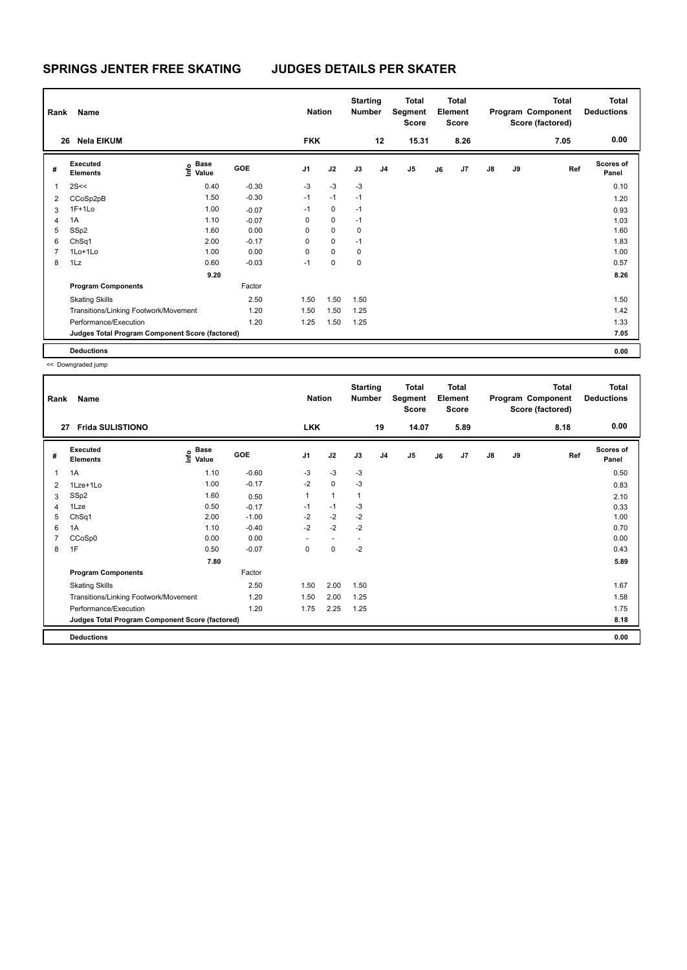| Rank | Name                                            |                            |         | <b>Nation</b>  |             | <b>Starting</b><br><b>Number</b> |                | <b>Total</b><br>Segment<br><b>Score</b> |    | <b>Total</b><br>Element<br><b>Score</b> |               |    | Total<br>Program Component<br>Score (factored) | <b>Total</b><br><b>Deductions</b> |
|------|-------------------------------------------------|----------------------------|---------|----------------|-------------|----------------------------------|----------------|-----------------------------------------|----|-----------------------------------------|---------------|----|------------------------------------------------|-----------------------------------|
| 26   | <b>Nela EIKUM</b>                               |                            |         | <b>FKK</b>     |             |                                  | 12             | 15.31                                   |    | 8.26                                    |               |    | 7.05                                           | 0.00                              |
| #    | Executed<br><b>Elements</b>                     | Base<br>$\frac{e}{2}$ Base | GOE     | J <sub>1</sub> | J2          | J3                               | J <sub>4</sub> | J <sub>5</sub>                          | J6 | J7                                      | $\mathsf{J}8$ | J9 | Ref                                            | <b>Scores of</b><br>Panel         |
| 1    | 2S<<                                            | 0.40                       | $-0.30$ | $-3$           | $-3$        | $-3$                             |                |                                         |    |                                         |               |    |                                                | 0.10                              |
| 2    | CCoSp2pB                                        | 1.50                       | $-0.30$ | $-1$           | $-1$        | $-1$                             |                |                                         |    |                                         |               |    |                                                | 1.20                              |
| 3    | $1F+1Lo$                                        | 1.00                       | $-0.07$ | $-1$           | $\mathbf 0$ | $-1$                             |                |                                         |    |                                         |               |    |                                                | 0.93                              |
| 4    | 1A                                              | 1.10                       | $-0.07$ | 0              | $\mathbf 0$ | $-1$                             |                |                                         |    |                                         |               |    |                                                | 1.03                              |
| 5    | SSp2                                            | 1.60                       | 0.00    | 0              | $\mathbf 0$ | 0                                |                |                                         |    |                                         |               |    |                                                | 1.60                              |
| 6    | ChSq1                                           | 2.00                       | $-0.17$ | 0              | $\mathbf 0$ | $-1$                             |                |                                         |    |                                         |               |    |                                                | 1.83                              |
|      | $1$ Lo $+1$ Lo                                  | 1.00                       | 0.00    | 0              | $\mathbf 0$ | 0                                |                |                                         |    |                                         |               |    |                                                | 1.00                              |
| 8    | 1Lz                                             | 0.60                       | $-0.03$ | $-1$           | $\mathbf 0$ | $\pmb{0}$                        |                |                                         |    |                                         |               |    |                                                | 0.57                              |
|      |                                                 | 9.20                       |         |                |             |                                  |                |                                         |    |                                         |               |    |                                                | 8.26                              |
|      | <b>Program Components</b>                       |                            | Factor  |                |             |                                  |                |                                         |    |                                         |               |    |                                                |                                   |
|      | <b>Skating Skills</b>                           |                            | 2.50    | 1.50           | 1.50        | 1.50                             |                |                                         |    |                                         |               |    |                                                | 1.50                              |
|      | Transitions/Linking Footwork/Movement           |                            | 1.20    | 1.50           | 1.50        | 1.25                             |                |                                         |    |                                         |               |    |                                                | 1.42                              |
|      | Performance/Execution                           |                            | 1.20    | 1.25           | 1.50        | 1.25                             |                |                                         |    |                                         |               |    |                                                | 1.33                              |
|      | Judges Total Program Component Score (factored) |                            |         |                |             |                                  |                |                                         |    |                                         |               |    |                                                | 7.05                              |
|      | <b>Deductions</b>                               |                            |         |                |             |                                  |                |                                         |    |                                         |               |    |                                                | 0.00                              |

| Rank | Name                                            |                              |         | <b>Nation</b>  |                          | <b>Starting</b><br>Number |                | <b>Total</b><br>Segment<br><b>Score</b> |    | <b>Total</b><br>Element<br><b>Score</b> |               |    | <b>Total</b><br>Program Component<br>Score (factored) | <b>Total</b><br><b>Deductions</b> |
|------|-------------------------------------------------|------------------------------|---------|----------------|--------------------------|---------------------------|----------------|-----------------------------------------|----|-----------------------------------------|---------------|----|-------------------------------------------------------|-----------------------------------|
| 27   | <b>Frida SULISTIONO</b>                         |                              |         | <b>LKK</b>     |                          |                           | 19             | 14.07                                   |    | 5.89                                    |               |    | 8.18                                                  | 0.00                              |
| #    | <b>Executed</b><br><b>Elements</b>              | <b>Base</b><br>١nf٥<br>Value | GOE     | J <sub>1</sub> | J2                       | J3                        | J <sub>4</sub> | J <sub>5</sub>                          | J6 | J7                                      | $\mathsf{J}8$ | J9 | Ref                                                   | <b>Scores of</b><br>Panel         |
| 1    | 1A                                              | 1.10                         | $-0.60$ | $-3$           | $-3$                     | -3                        |                |                                         |    |                                         |               |    |                                                       | 0.50                              |
| 2    | 1Lze+1Lo                                        | 1.00                         | $-0.17$ | $-2$           | $\mathbf 0$              | -3                        |                |                                         |    |                                         |               |    |                                                       | 0.83                              |
| 3    | SSp2                                            | 1.60                         | 0.50    | $\mathbf{1}$   | $\mathbf{1}$             | $\mathbf{1}$              |                |                                         |    |                                         |               |    |                                                       | 2.10                              |
| 4    | 1Lze                                            | 0.50                         | $-0.17$ | $-1$           | $-1$                     | -3                        |                |                                         |    |                                         |               |    |                                                       | 0.33                              |
| 5    | ChSq1                                           | 2.00                         | $-1.00$ | $-2$           | $-2$                     | $-2$                      |                |                                         |    |                                         |               |    |                                                       | 1.00                              |
| 6    | 1A                                              | 1.10                         | $-0.40$ | $-2$           | $-2$                     | $-2$                      |                |                                         |    |                                         |               |    |                                                       | 0.70                              |
| 7    | CCoSp0                                          | 0.00                         | 0.00    |                | $\overline{\phantom{a}}$ |                           |                |                                         |    |                                         |               |    |                                                       | 0.00                              |
| 8    | 1F                                              | 0.50                         | $-0.07$ | 0              | 0                        | $-2$                      |                |                                         |    |                                         |               |    |                                                       | 0.43                              |
|      |                                                 | 7.80                         |         |                |                          |                           |                |                                         |    |                                         |               |    |                                                       | 5.89                              |
|      | <b>Program Components</b>                       |                              | Factor  |                |                          |                           |                |                                         |    |                                         |               |    |                                                       |                                   |
|      | <b>Skating Skills</b>                           |                              | 2.50    | 1.50           | 2.00                     | 1.50                      |                |                                         |    |                                         |               |    |                                                       | 1.67                              |
|      | Transitions/Linking Footwork/Movement           |                              | 1.20    | 1.50           | 2.00                     | 1.25                      |                |                                         |    |                                         |               |    |                                                       | 1.58                              |
|      | Performance/Execution                           |                              | 1.20    | 1.75           | 2.25                     | 1.25                      |                |                                         |    |                                         |               |    |                                                       | 1.75                              |
|      | Judges Total Program Component Score (factored) |                              |         |                |                          |                           |                |                                         |    |                                         |               |    |                                                       | 8.18                              |
|      | <b>Deductions</b>                               |                              |         |                |                          |                           |                |                                         |    |                                         |               |    |                                                       | 0.00                              |